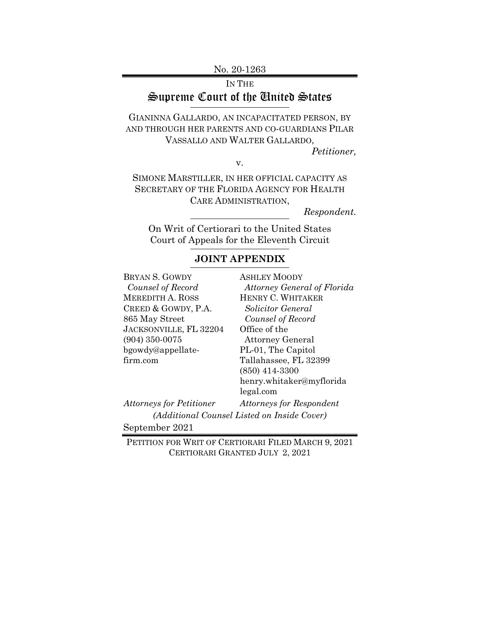No. 20-1263

IN THE Supreme Court of the United States

GIANINNA GALLARDO, AN INCAPACITATED PERSON, BY AND THROUGH HER PARENTS AND CO-GUARDIANS PILAR VASSALLO AND WALTER GALLARDO, *Petitioner,* 

v.

SIMONE MARSTILLER, IN HER OFFICIAL CAPACITY AS SECRETARY OF THE FLORIDA AGENCY FOR HEALTH CARE ADMINISTRATION,

*Respondent.* 

On Writ of Certiorari to the United States Court of Appeals for the Eleventh Circuit

# **JOINT APPENDIX**

| BRYAN S. GOWDY                  | <b>ASHLEY MOODY</b>                         |
|---------------------------------|---------------------------------------------|
| Counsel of Record               | Attorney General of Florida                 |
| <b>MEREDITH A. ROSS</b>         | HENRY C. WHITAKER                           |
| CREED & GOWDY, P.A.             | Solicitor General                           |
| 865 May Street                  | Counsel of Record                           |
| <b>JACKSONVILLE, FL 32204</b>   | Office of the                               |
| $(904)$ 350-0075                | <b>Attorney General</b>                     |
| bgowdy@appellate-               | PL-01, The Capitol                          |
| firm.com                        | Tallahassee, FL 32399                       |
|                                 | $(850)$ 414-3300                            |
|                                 | henry.whitaker@myflorida                    |
|                                 | legal.com                                   |
| <b>Attorneys for Petitioner</b> | <b>Attorneys for Respondent</b>             |
|                                 | (Additional Counsel Listed on Inside Cover) |
| September 2021                  |                                             |

PETITION FOR WRIT OF CERTIORARI FILED MARCH 9, 2021 CERTIORARI GRANTED JULY 2, 2021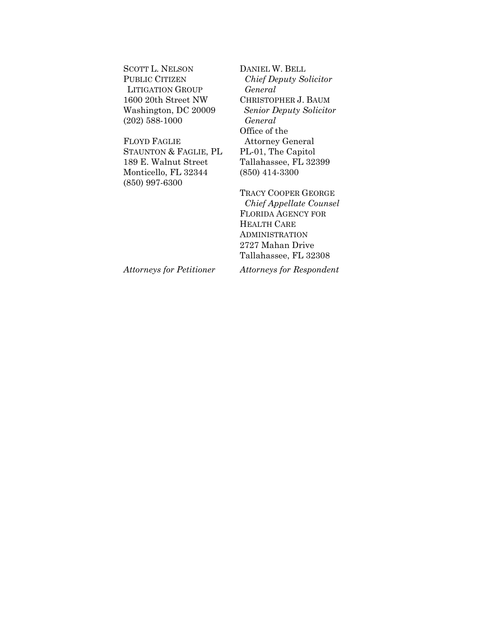SCOTT L. NELSON PUBLIC CITIZEN LITIGATION GROUP 1600 20th Street NW Washington, DC 20009 (202) 588-1000

FLOYD FAGLIE STAUNTON & FAGLIE, PL 189 E. Walnut Street Monticello, FL 32344 (850) 997-6300

DANIEL W. BELL *Chief Deputy Solicitor General*  CHRISTOPHER J. BAUM *Senior Deputy Solicitor General*  Office of the Attorney General PL-01, The Capitol Tallahassee, FL 32399 (850) 414-3300

TRACY COOPER GEORGE  *Chief Appellate Counsel*  FLORIDA AGENCY FOR HEALTH CARE ADMINISTRATION 2727 Mahan Drive Tallahassee, FL 32308

*Attorneys for Petitioner* 

*Attorneys for Respondent*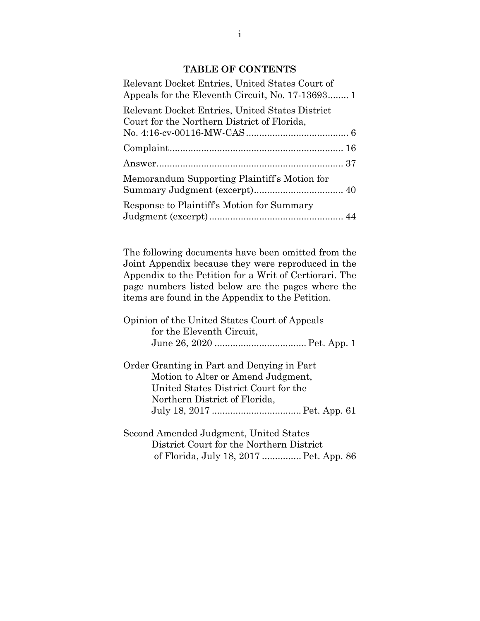### **TABLE OF CONTENTS**

| Relevant Docket Entries, United States Court of<br>Appeals for the Eleventh Circuit, No. 17-13693 1 |
|-----------------------------------------------------------------------------------------------------|
| Relevant Docket Entries, United States District<br>Court for the Northern District of Florida,      |
|                                                                                                     |
|                                                                                                     |
| Memorandum Supporting Plaintiff's Motion for                                                        |
| Response to Plaintiff's Motion for Summary                                                          |

The following documents have been omitted from the Joint Appendix because they were reproduced in the Appendix to the Petition for a Writ of Certiorari. The page numbers listed below are the pages where the items are found in the Appendix to the Petition.

| Opinion of the United States Court of Appeals |  |
|-----------------------------------------------|--|
| for the Eleventh Circuit,                     |  |
|                                               |  |

Order Granting in Part and Denying in Part Motion to Alter or Amend Judgment, United States District Court for the Northern District of Florida, July 18, 2017 .................................. Pet. App. 61

Second Amended Judgment, United States District Court for the Northern District of Florida, July 18, 2017 ............... Pet. App. 86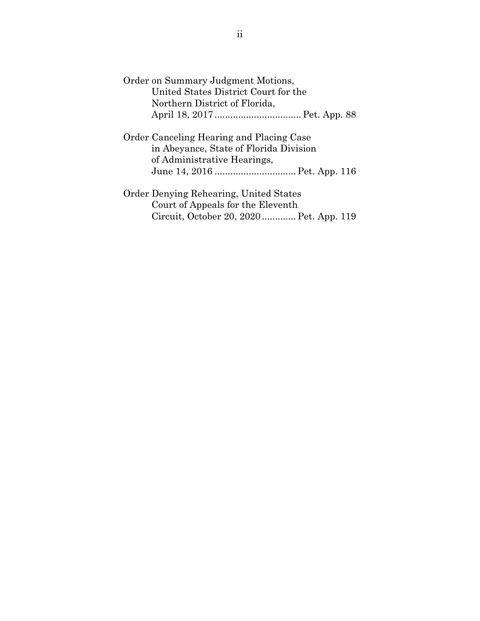| Order on Summary Judgment Motions,       |
|------------------------------------------|
| United States District Court for the     |
| Northern District of Florida,            |
|                                          |
|                                          |
| Order Canceling Hearing and Placing Case |
| in Abeyance, State of Florida Division   |
| of Administrative Hearings,              |
|                                          |
|                                          |
| Order Denying Rehearing, United States   |
| Court of Appeals for the Eleventh        |
| Circuit, October 20, 2020 Pet. App. 119  |
|                                          |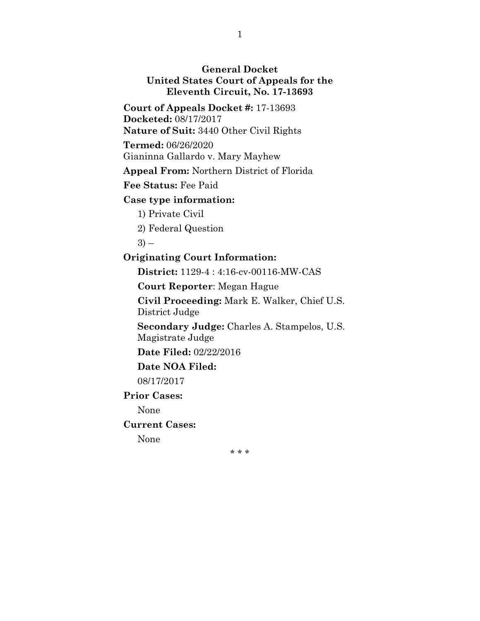## **General Docket United States Court of Appeals for the Eleventh Circuit, No. 17-13693**

**Court of Appeals Docket #:** 17-13693 **Docketed:** 08/17/2017

**Nature of Suit:** 3440 Other Civil Rights

**Termed:** 06/26/2020

Gianinna Gallardo v. Mary Mayhew

**Appeal From:** Northern District of Florida

**Fee Status:** Fee Paid

## **Case type information:**

1) Private Civil

2) Federal Question

 $3)$  –

## **Originating Court Information:**

**District:** 1129-4 : 4:16-cv-00116-MW-CAS

**Court Reporter**: Megan Hague

**Civil Proceeding:** Mark E. Walker, Chief U.S. District Judge

**Secondary Judge:** Charles A. Stampelos, U.S. Magistrate Judge

**Date Filed:** 02/22/2016

**Date NOA Filed:** 

08/17/2017

## **Prior Cases:**

None

**Current Cases:** 

None

\* \* \*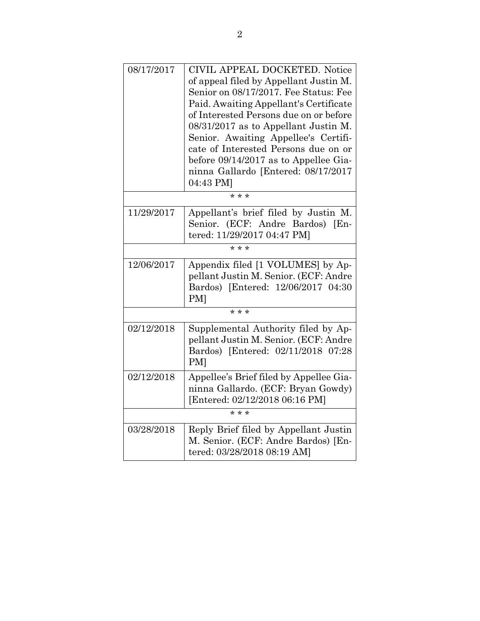| 08/17/2017 | CIVIL APPEAL DOCKETED. Notice<br>of appeal filed by Appellant Justin M.<br>Senior on 08/17/2017. Fee Status: Fee<br>Paid. Awaiting Appellant's Certificate<br>of Interested Persons due on or before<br>08/31/2017 as to Appellant Justin M.<br>Senior. Awaiting Appellee's Certifi-<br>cate of Interested Persons due on or<br>before 09/14/2017 as to Appellee Gia-<br>ninna Gallardo [Entered: 08/17/2017<br>04:43 PM] |
|------------|---------------------------------------------------------------------------------------------------------------------------------------------------------------------------------------------------------------------------------------------------------------------------------------------------------------------------------------------------------------------------------------------------------------------------|
|            | * * *                                                                                                                                                                                                                                                                                                                                                                                                                     |
| 11/29/2017 | Appellant's brief filed by Justin M.<br>Senior. (ECF: Andre Bardos) [En-<br>tered: 11/29/2017 04:47 PM]                                                                                                                                                                                                                                                                                                                   |
|            | $* * *$                                                                                                                                                                                                                                                                                                                                                                                                                   |
| 12/06/2017 | Appendix filed [1 VOLUMES] by Ap-<br>pellant Justin M. Senior. (ECF: Andre<br>Bardos) [Entered: 12/06/2017 04:30<br><b>PM</b>                                                                                                                                                                                                                                                                                             |
|            | * * *                                                                                                                                                                                                                                                                                                                                                                                                                     |
| 02/12/2018 | Supplemental Authority filed by Ap-<br>pellant Justin M. Senior. (ECF: Andre<br>Bardos) [Entered: 02/11/2018 07:28<br><b>PM</b>                                                                                                                                                                                                                                                                                           |
| 02/12/2018 | Appellee's Brief filed by Appellee Gia-<br>ninna Gallardo. (ECF: Bryan Gowdy)<br>[Entered: 02/12/2018 06:16 PM]                                                                                                                                                                                                                                                                                                           |
|            | * * *                                                                                                                                                                                                                                                                                                                                                                                                                     |
| 03/28/2018 | Reply Brief filed by Appellant Justin<br>M. Senior. (ECF: Andre Bardos) [En-<br>tered: 03/28/2018 08:19 AM]                                                                                                                                                                                                                                                                                                               |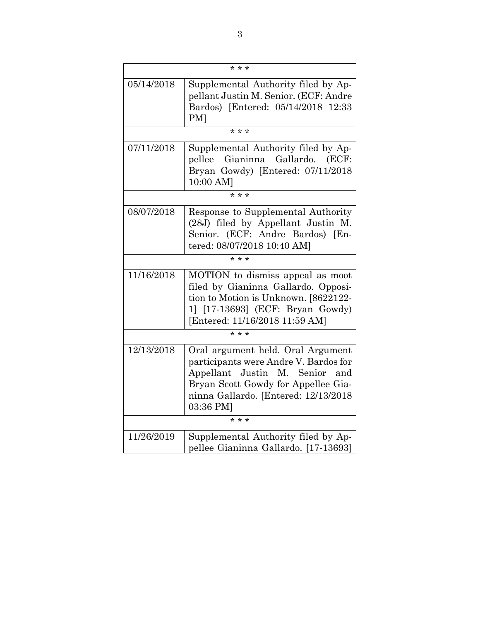| $* * *$    |                                                                                                                                                                                                             |  |
|------------|-------------------------------------------------------------------------------------------------------------------------------------------------------------------------------------------------------------|--|
| 05/14/2018 | Supplemental Authority filed by Ap-<br>pellant Justin M. Senior. (ECF: Andre<br>Bardos) [Entered: 05/14/2018 12:33<br><b>PM</b>                                                                             |  |
|            | * * *                                                                                                                                                                                                       |  |
| 07/11/2018 | Supplemental Authority filed by Ap-<br>pellee Gianinna Gallardo. (ECF:<br>Bryan Gowdy) [Entered: 07/11/2018<br>10:00 AM]                                                                                    |  |
|            | $* * *$                                                                                                                                                                                                     |  |
| 08/07/2018 | Response to Supplemental Authority<br>(28J) filed by Appellant Justin M.<br>Senior. (ECF: Andre Bardos) [En-<br>tered: 08/07/2018 10:40 AM]                                                                 |  |
|            | $* * *$                                                                                                                                                                                                     |  |
| 11/16/2018 | MOTION to dismiss appeal as moot<br>filed by Gianinna Gallardo. Opposi-<br>tion to Motion is Unknown. [8622122-<br>1] [17-13693] (ECF: Bryan Gowdy)<br>[Entered: 11/16/2018 11:59 AM]                       |  |
| $* * *$    |                                                                                                                                                                                                             |  |
| 12/13/2018 | Oral argument held. Oral Argument<br>participants were Andre V. Bardos for<br>Appellant Justin M. Senior<br>and<br>Bryan Scott Gowdy for Appellee Gia-<br>ninna Gallardo. [Entered: 12/13/2018<br>03:36 PM] |  |
| * * *      |                                                                                                                                                                                                             |  |
| 11/26/2019 | Supplemental Authority filed by Ap-<br>pellee Gianinna Gallardo. [17-13693]                                                                                                                                 |  |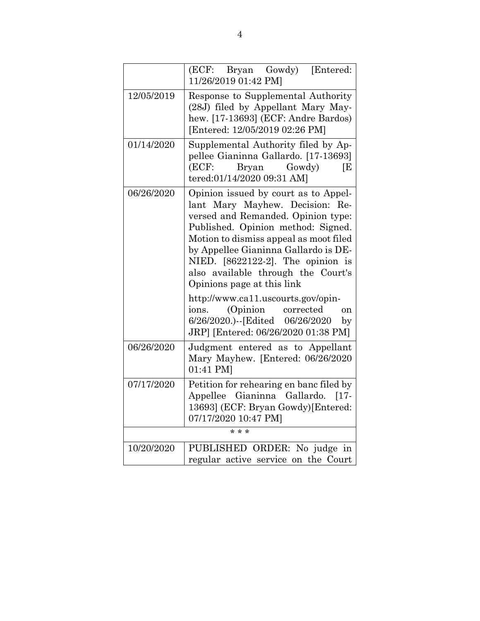|            | (ECF: Bryan Gowdy) [Entered:<br>11/26/2019 01:42 PM]                                                                                                                                                                                                                                                                                                                                                                                                                                                                       |
|------------|----------------------------------------------------------------------------------------------------------------------------------------------------------------------------------------------------------------------------------------------------------------------------------------------------------------------------------------------------------------------------------------------------------------------------------------------------------------------------------------------------------------------------|
| 12/05/2019 | Response to Supplemental Authority<br>(28J) filed by Appellant Mary May-<br>hew. [17-13693] (ECF: Andre Bardos)<br>[Entered: 12/05/2019 02:26 PM]                                                                                                                                                                                                                                                                                                                                                                          |
| 01/14/2020 | Supplemental Authority filed by Ap-<br>pellee Gianinna Gallardo. [17-13693]<br>(ECF:<br>Bryan Gowdy)<br>ſΕ<br>tered:01/14/2020 09:31 AM]                                                                                                                                                                                                                                                                                                                                                                                   |
| 06/26/2020 | Opinion issued by court as to Appel-<br>lant Mary Mayhew. Decision: Re-<br>versed and Remanded. Opinion type:<br>Published. Opinion method: Signed.<br>Motion to dismiss appeal as moot filed<br>by Appellee Gianinna Gallardo is DE-<br>NIED. $[8622122-2]$ . The opinion is<br>also available through the Court's<br>Opinions page at this link<br>http://www.ca11.uscourts.gov/opin-<br>(Opinion<br>ions.<br>corrected<br><sub>on</sub><br>6/26/2020.)--[Edited 06/26/2020<br>by<br>JRP] [Entered: 06/26/2020 01:38 PM] |
| 06/26/2020 | Judgment entered as to Appellant<br>Mary Mayhew. [Entered: 06/26/2020<br>01:41 PM]                                                                                                                                                                                                                                                                                                                                                                                                                                         |
| 07/17/2020 | Petition for rehearing en banc filed by<br>Appellee<br>Gianinna<br>Gallardo.<br>$[17-$<br>13693] (ECF: Bryan Gowdy) [Entered:<br>07/17/2020 10:47 PM]                                                                                                                                                                                                                                                                                                                                                                      |
|            | $* * *$                                                                                                                                                                                                                                                                                                                                                                                                                                                                                                                    |
| 10/20/2020 | PUBLISHED ORDER: No judge in<br>regular active service on the Court                                                                                                                                                                                                                                                                                                                                                                                                                                                        |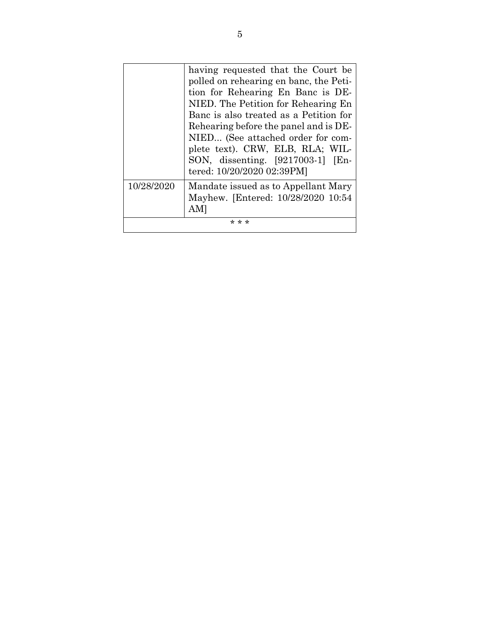|            | having requested that the Court be<br>polled on rehearing en banc, the Peti-<br>tion for Rehearing En Banc is DE-<br>NIED. The Petition for Rehearing En<br>Banc is also treated as a Petition for<br>Rehearing before the panel and is DE-<br>NIED (See attached order for com-<br>plete text). CRW, ELB, RLA; WIL-<br>SON, dissenting. [9217003-1] [En-<br>tered: 10/20/2020 02:39PM] |
|------------|-----------------------------------------------------------------------------------------------------------------------------------------------------------------------------------------------------------------------------------------------------------------------------------------------------------------------------------------------------------------------------------------|
| 10/28/2020 | Mandate issued as to Appellant Mary<br>Mayhew. [Entered: 10/28/2020 10:54                                                                                                                                                                                                                                                                                                               |
| * * *      |                                                                                                                                                                                                                                                                                                                                                                                         |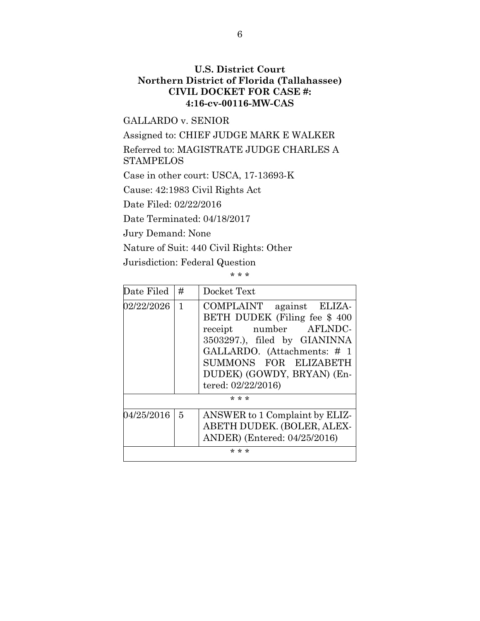## **U.S. District Court Northern District of Florida (Tallahassee) CIVIL DOCKET FOR CASE #: 4:16-cv-00116-MW-CAS**

#### GALLARDO v. SENIOR

Assigned to: CHIEF JUDGE MARK E WALKER

Referred to: MAGISTRATE JUDGE CHARLES A **STAMPELOS** 

Case in other court: USCA, 17-13693-K

Cause: 42:1983 Civil Rights Act

Date Filed: 02/22/2016

Date Terminated: 04/18/2017

Jury Demand: None

Nature of Suit: 440 Civil Rights: Other

Jurisdiction: Federal Question

\* \* \*

| Date Filed | #              | Docket Text                                                                                                                                                                                                                     |
|------------|----------------|---------------------------------------------------------------------------------------------------------------------------------------------------------------------------------------------------------------------------------|
| 02/22/2026 | $\mathbf{1}$   | COMPLAINT against ELIZA-<br>BETH DUDEK (Filing fee \$400)<br>receipt number AFLNDC-<br>3503297.), filed by GIANINNA<br>GALLARDO. (Attachments: # 1<br>SUMMONS FOR ELIZABETH<br>DUDEK) (GOWDY, BRYAN) (En-<br>tered: 02/22/2016) |
| * * *      |                |                                                                                                                                                                                                                                 |
| 04/25/2016 | $\overline{5}$ | ANSWER to 1 Complaint by ELIZ-<br>ABETH DUDEK. (BOLER, ALEX-<br>ANDER) (Entered: 04/25/2016)                                                                                                                                    |
| * * *      |                |                                                                                                                                                                                                                                 |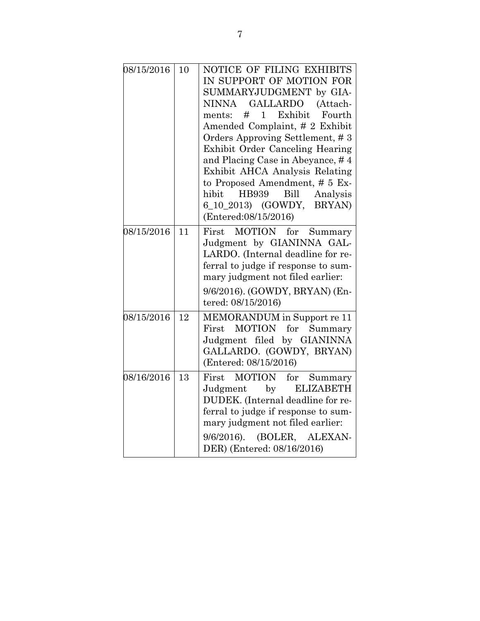| 08/15/2016 | 10 | NOTICE OF FILING EXHIBITS<br>IN SUPPORT OF MOTION FOR<br>SUMMARYJUDGMENT by GIA-<br>GALLARDO<br><b>NINNA</b><br>(Attach-<br>#<br>Exhibit<br>1<br>Fourth<br>ments:<br>Amended Complaint, # 2 Exhibit<br>Orders Approving Settlement, #3<br>Exhibit Order Canceling Hearing<br>and Placing Case in Abeyance, #4<br>Exhibit AHCA Analysis Relating<br>to Proposed Amendment, # 5 Ex-<br>hibit<br>HB939<br>Bill<br>Analysis<br>6_10_2013) (GOWDY,<br>BRYAN)<br>(Entered:08/15/2016) |
|------------|----|---------------------------------------------------------------------------------------------------------------------------------------------------------------------------------------------------------------------------------------------------------------------------------------------------------------------------------------------------------------------------------------------------------------------------------------------------------------------------------|
| 08/15/2016 | 11 | MOTION for<br>First<br>Summary<br>Judgment by GIANINNA GAL-<br>LARDO. (Internal deadline for re-<br>ferral to judge if response to sum-<br>mary judgment not filed earlier:<br>9/6/2016). (GOWDY, BRYAN) (En-<br>tered: 08/15/2016)                                                                                                                                                                                                                                             |
| 08/15/2016 | 12 | MEMORANDUM in Support re 11<br><b>MOTION</b><br>for<br>First<br>Summary<br>Judgment filed by GIANINNA<br>GALLARDO. (GOWDY, BRYAN)<br>(Entered: 08/15/2016)                                                                                                                                                                                                                                                                                                                      |
| 08/16/2016 | 13 | MOTION<br>for<br>First<br>Summary<br>by<br><b>ELIZABETH</b><br>Judgment<br>DUDEK. (Internal deadline for re-<br>ferral to judge if response to sum-<br>mary judgment not filed earlier:<br>$9/6/2016$ ).<br>(BOLER, ALEXAN-<br>DER) (Entered: 08/16/2016)                                                                                                                                                                                                                       |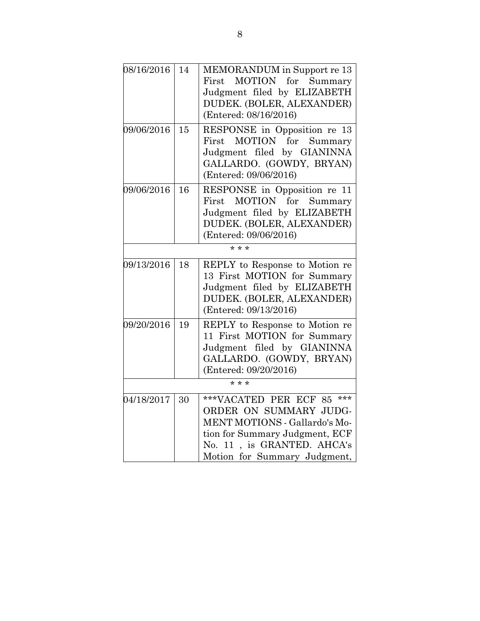| 08/16/2016 | 14 | MEMORANDUM in Support re 13<br>MOTION for Summary<br>First<br>Judgment filed by ELIZABETH<br>DUDEK. (BOLER, ALEXANDER)<br>(Entered: 08/16/2016)                                         |
|------------|----|-----------------------------------------------------------------------------------------------------------------------------------------------------------------------------------------|
| 09/06/2016 | 15 | RESPONSE in Opposition re 13<br>MOTION<br>for Summary<br>$\operatorname{First}$<br>Judgment filed by GIANINNA<br>GALLARDO. (GOWDY, BRYAN)<br>(Entered: 09/06/2016)                      |
| 09/06/2016 | 16 | RESPONSE in Opposition re 11<br><b>MOTION</b><br>for<br>Summary<br>First<br>Judgment filed by ELIZABETH<br>DUDEK. (BOLER, ALEXANDER)<br>(Entered: 09/06/2016)                           |
| 09/13/2016 | 18 | REPLY to Response to Motion re<br>13 First MOTION for Summary<br>Judgment filed by ELIZABETH<br>DUDEK. (BOLER, ALEXANDER)<br>(Entered: 09/13/2016)                                      |
| 09/20/2016 | 19 | REPLY to Response to Motion re<br>11 First MOTION for Summary<br>Judgment filed by GIANINNA<br>GALLARDO. (GOWDY, BRYAN)<br>(Entered: 09/20/2016)<br>$* * *$                             |
|            |    |                                                                                                                                                                                         |
| 04/18/2017 | 30 | ***<br>***VACATED PER ECF 85<br>ORDER ON SUMMARY JUDG-<br>MENT MOTIONS - Gallardo's Mo-<br>tion for Summary Judgment, ECF<br>No. 11, is GRANTED. AHCA's<br>Motion for Summary Judgment, |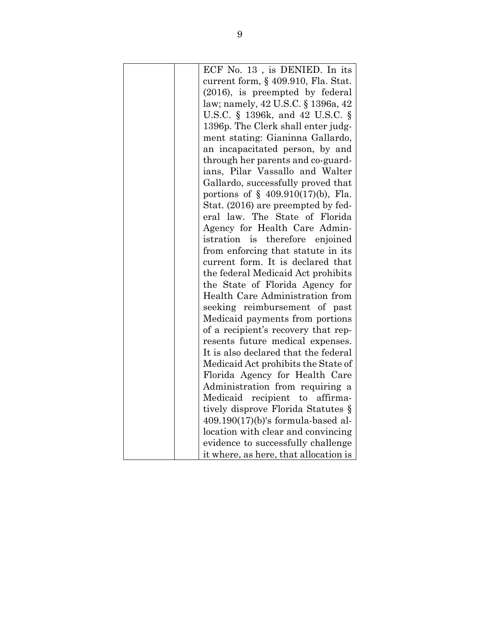| ECF No. 13, is DENIED. In its                                        |
|----------------------------------------------------------------------|
| current form, § 409.910, Fla. Stat.                                  |
| (2016), is preempted by federal                                      |
| law; namely, 42 U.S.C. § 1396a, 42                                   |
| U.S.C. § 1396k, and 42 U.S.C. §                                      |
| 1396p. The Clerk shall enter judg-                                   |
| ment stating: Gianinna Gallardo,                                     |
| an incapacitated person, by and                                      |
| through her parents and co-guard-                                    |
| ians, Pilar Vassallo and Walter                                      |
| Gallardo, successfully proved that                                   |
| portions of $\S$ 409.910(17)(b), Fla.                                |
|                                                                      |
| Stat. (2016) are preempted by fed-<br>eral law. The State of Florida |
|                                                                      |
| Agency for Health Care Admin-                                        |
| istration is therefore enjoined                                      |
| from enforcing that statute in its                                   |
| current form. It is declared that                                    |
| the federal Medicaid Act prohibits                                   |
| the State of Florida Agency for                                      |
| Health Care Administration from                                      |
| seeking reimbursement of past                                        |
| Medicaid payments from portions                                      |
| of a recipient's recovery that rep-                                  |
| resents future medical expenses.                                     |
| It is also declared that the federal                                 |
| Medicaid Act prohibits the State of                                  |
| Florida Agency for Health Care                                       |
| Administration from requiring a                                      |
| Medicaid recipient to affirma-                                       |
| tively disprove Florida Statutes §                                   |
| $409.190(17)(b)$ 's formula-based al-                                |
| location with clear and convincing                                   |
| evidence to successfully challenge                                   |
| it where, as here, that allocation is                                |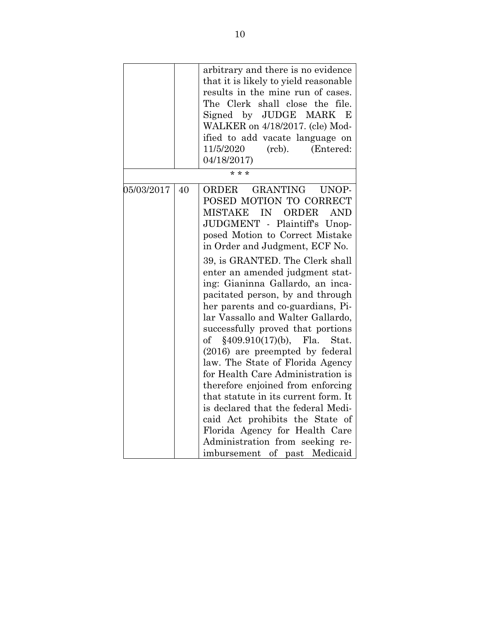|            |    | arbitrary and there is no evidence<br>that it is likely to yield reasonable<br>results in the mine run of cases.<br>The Clerk shall close the file.<br>Signed by JUDGE MARK<br>E<br>WALKER on 4/18/2017. (cle) Mod-<br>ified to add vacate language on<br>11/5/2020<br>(rcb).<br>(Entered:<br>04/18/2017)<br>* * *                                                                                                                                                                                                                                                                                                                                                                                                                                                                                                                                                                              |
|------------|----|-------------------------------------------------------------------------------------------------------------------------------------------------------------------------------------------------------------------------------------------------------------------------------------------------------------------------------------------------------------------------------------------------------------------------------------------------------------------------------------------------------------------------------------------------------------------------------------------------------------------------------------------------------------------------------------------------------------------------------------------------------------------------------------------------------------------------------------------------------------------------------------------------|
|            |    |                                                                                                                                                                                                                                                                                                                                                                                                                                                                                                                                                                                                                                                                                                                                                                                                                                                                                                 |
| 05/03/2017 | 40 | <b>GRANTING</b><br>ORDER<br>UNOP-<br>POSED MOTION TO CORRECT<br><b>MISTAKE</b><br>IN<br>ORDER<br><b>AND</b><br>JUDGMENT - Plaintiff's Unop-<br>posed Motion to Correct Mistake<br>in Order and Judgment, ECF No.<br>39, is GRANTED. The Clerk shall<br>enter an amended judgment stat-<br>ing: Gianinna Gallardo, an inca-<br>pacitated person, by and through<br>her parents and co-guardians, Pi-<br>lar Vassallo and Walter Gallardo,<br>successfully proved that portions<br>§409.910(17)(b),<br>Fla.<br>of<br>Stat.<br>(2016) are preempted by federal<br>law. The State of Florida Agency<br>for Health Care Administration is<br>therefore enjoined from enforcing<br>that statute in its current form. It<br>is declared that the federal Medi-<br>caid Act prohibits the State of<br>Florida Agency for Health Care<br>Administration from seeking re-<br>imbursement of past Medicaid |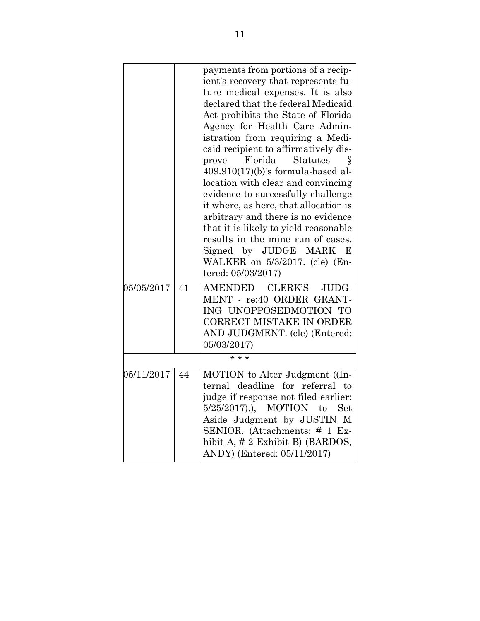|            |    | payments from portions of a recip-<br>ient's recovery that represents fu-<br>ture medical expenses. It is also<br>declared that the federal Medicaid<br>Act prohibits the State of Florida<br>Agency for Health Care Admin-<br>istration from requiring a Medi-<br>caid recipient to affirmatively dis-<br>Florida<br><b>Statutes</b><br>prove<br>Ş<br>$409.910(17)$ (b)'s formula-based al-<br>location with clear and convincing<br>evidence to successfully challenge<br>it where, as here, that allocation is<br>arbitrary and there is no evidence<br>that it is likely to yield reasonable<br>results in the mine run of cases.<br>Signed by JUDGE MARK<br>E<br>WALKER on 5/3/2017. (cle) (En-<br>tered: 05/03/2017) |
|------------|----|----------------------------------------------------------------------------------------------------------------------------------------------------------------------------------------------------------------------------------------------------------------------------------------------------------------------------------------------------------------------------------------------------------------------------------------------------------------------------------------------------------------------------------------------------------------------------------------------------------------------------------------------------------------------------------------------------------------------------|
| 05/05/2017 | 41 | <b>CLERK'S</b><br><b>AMENDED</b><br>JUDG-<br>MENT - re:40 ORDER GRANT-<br>ING UNOPPOSEDMOTION TO<br><b>CORRECT MISTAKE IN ORDER</b><br>AND JUDGMENT. (cle) (Entered:<br>05/03/2017)                                                                                                                                                                                                                                                                                                                                                                                                                                                                                                                                        |
|            |    | * * *                                                                                                                                                                                                                                                                                                                                                                                                                                                                                                                                                                                                                                                                                                                      |
| 05/11/2017 | 44 | MOTION to Alter Judgment ((In-<br>ternal deadline for referral to<br>judge if response not filed earlier:<br>5/25/2017).), MOTION<br><b>Set</b><br>to<br>Aside Judgment by JUSTIN M<br>SENIOR. (Attachments: # 1 Ex-<br>hibit A, $\# 2$ Exhibit B) (BARDOS,<br>ANDY) (Entered: 05/11/2017)                                                                                                                                                                                                                                                                                                                                                                                                                                 |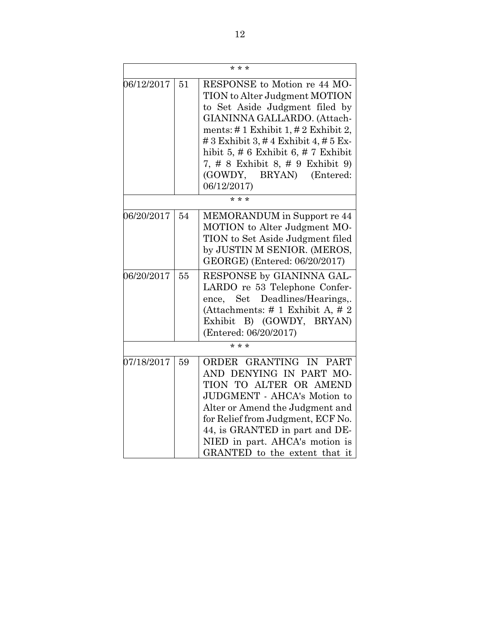|            | $* * *$ |                                                                                                                                                                                                                                                                                                                                                 |  |
|------------|---------|-------------------------------------------------------------------------------------------------------------------------------------------------------------------------------------------------------------------------------------------------------------------------------------------------------------------------------------------------|--|
| 06/12/2017 | 51      | RESPONSE to Motion re 44 MO-<br>TION to Alter Judgment MOTION<br>to Set Aside Judgment filed by<br>GIANINNA GALLARDO. (Attach-<br>ments: #1 Exhibit 1, #2 Exhibit 2,<br># 3 Exhibit 3, # 4 Exhibit 4, # 5 Ex-<br>hibit 5, $\#$ 6 Exhibit 6, $\#$ 7 Exhibit<br>7, # 8 Exhibit 8, # 9 Exhibit 9)<br>BRYAN)<br>(Entered:<br>(GOWDY,<br>06/12/2017) |  |
|            |         | $\frac{1}{x}$ * *                                                                                                                                                                                                                                                                                                                               |  |
| 06/20/2017 | 54      | MEMORANDUM in Support re 44<br>MOTION to Alter Judgment MO-<br>TION to Set Aside Judgment filed<br>by JUSTIN M SENIOR. (MEROS,<br>GEORGE) (Entered: 06/20/2017)                                                                                                                                                                                 |  |
| 06/20/2017 | 55      | RESPONSE by GIANINNA GAL-<br>LARDO re 53 Telephone Confer-<br>ence, Set Deadlines/Hearings,.<br>(Attachments: $\#$ 1 Exhibit A, $\#$ 2<br>Exhibit B) (GOWDY, BRYAN)<br>(Entered: 06/20/2017)                                                                                                                                                    |  |
|            | $* * *$ |                                                                                                                                                                                                                                                                                                                                                 |  |
| 07/18/2017 | 59      | ORDER GRANTING IN PART<br>AND DENYING IN PART MO-<br>TION TO ALTER OR AMEND<br>JUDGMENT - AHCA's Motion to<br>Alter or Amend the Judgment and<br>for Relief from Judgment, ECF No.<br>44, is GRANTED in part and DE-<br>NIED in part. AHCA's motion is<br>GRANTED to the extent that it                                                         |  |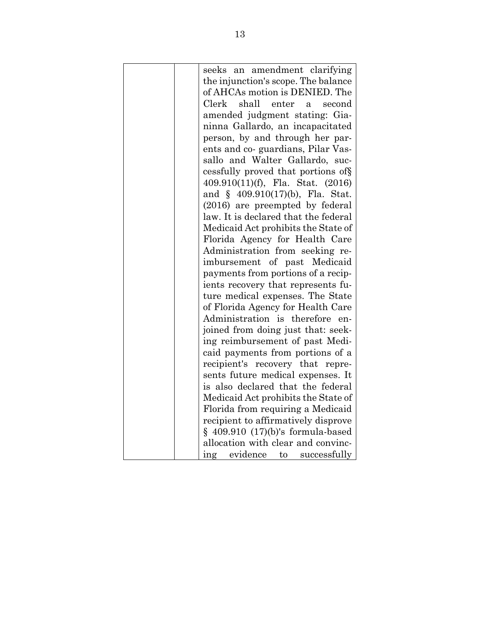| seeks an amendment clarifying        |
|--------------------------------------|
| the injunction's scope. The balance  |
| of AHCAs motion is DENIED. The       |
| shall enter<br>Clerk<br>second<br>a  |
| amended judgment stating: Gia-       |
| ninna Gallardo, an incapacitated     |
| person, by and through her par-      |
| ents and co-guardians, Pilar Vas-    |
| sallo and Walter Gallardo, suc-      |
| cessfully proved that portions of §  |
| 409.910(11)(f), Fla. Stat. (2016)    |
| and $§$ 409.910(17)(b), Fla. Stat.   |
| (2016) are preempted by federal      |
| law. It is declared that the federal |
| Medicaid Act prohibits the State of  |
| Florida Agency for Health Care       |
| Administration from seeking re-      |
| imbursement of past Medicaid         |
| payments from portions of a recip-   |
| ients recovery that represents fu-   |
| ture medical expenses. The State     |
| of Florida Agency for Health Care    |
| Administration is therefore<br>en-   |
| joined from doing just that: seek-   |
| ing reimbursement of past Medi-      |
| caid payments from portions of a     |
| recipient's recovery that<br>repre-  |
| sents future medical expenses. It    |
| is also declared that the federal    |
| Medicaid Act prohibits the State of  |
| Florida from requiring a Medicaid    |
| recipient to affirmatively disprove  |
| $§$ 409.910 (17)(b)'s formula-based  |
| allocation with clear and convinc-   |
| ing evidence to successfully         |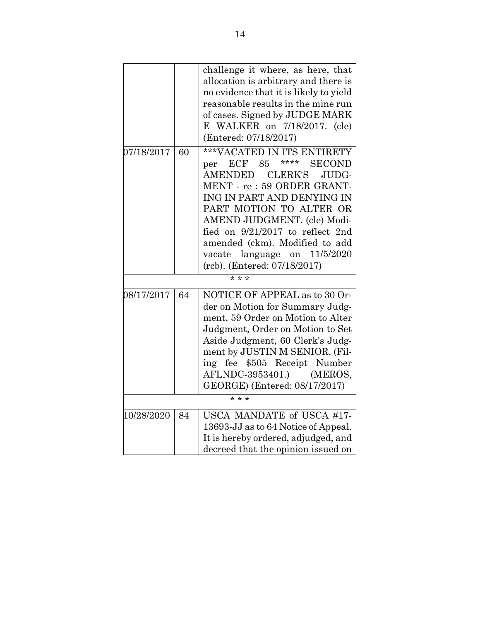|            |    | challenge it where, as here, that<br>allocation is arbitrary and there is<br>no evidence that it is likely to yield<br>reasonable results in the mine run<br>of cases. Signed by JUDGE MARK<br>E WALKER on 7/18/2017. (cle)<br>(Entered: 07/18/2017)                                                                                                                      |
|------------|----|---------------------------------------------------------------------------------------------------------------------------------------------------------------------------------------------------------------------------------------------------------------------------------------------------------------------------------------------------------------------------|
| 07/18/2017 | 60 | ***VACATED IN ITS ENTIRETY<br>****<br>ECF<br><b>SECOND</b><br>85<br>per<br>AMENDED<br><b>CLERK'S</b><br>JUDG-<br>MENT - re: 59 ORDER GRANT-<br>ING IN PART AND DENYING IN<br>PART MOTION TO ALTER OR<br>AMEND JUDGMENT. (cle) Modi-<br>fied on 9/21/2017 to reflect 2nd<br>amended (ckm). Modified to add<br>vacate language on 11/5/2020<br>(rcb). (Entered: 07/18/2017) |
|            |    | $* * *$                                                                                                                                                                                                                                                                                                                                                                   |
| 08/17/2017 | 64 | NOTICE OF APPEAL as to 30 Or-<br>der on Motion for Summary Judg-<br>ment, 59 Order on Motion to Alter<br>Judgment, Order on Motion to Set<br>Aside Judgment, 60 Clerk's Judg-<br>ment by JUSTIN M SENIOR. (Fil-<br>ing fee \$505 Receipt Number<br>AFLNDC-3953401.) (MEROS,<br>GEORGE) (Entered: 08/17/2017)                                                              |
| $* * *$    |    |                                                                                                                                                                                                                                                                                                                                                                           |
| 10/28/2020 | 84 | USCA MANDATE of USCA #17-<br>13693-JJ as to 64 Notice of Appeal.<br>It is hereby ordered, adjudged, and<br>decreed that the opinion issued on                                                                                                                                                                                                                             |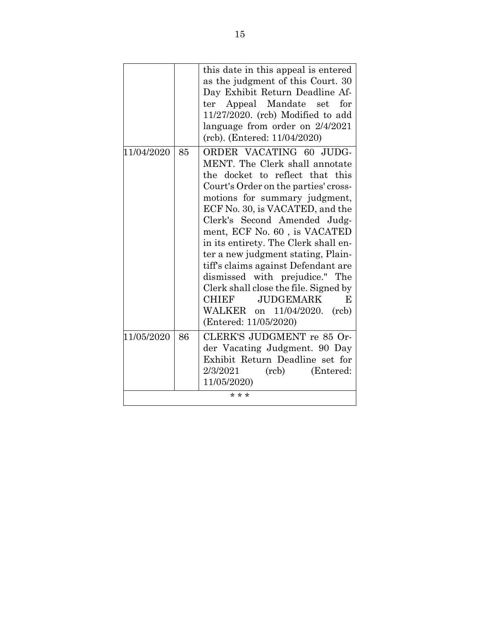|            |    | this date in this appeal is entered<br>as the judgment of this Court. 30<br>Day Exhibit Return Deadline Af-<br>Appeal Mandate<br>for<br>ter<br>$\mathbf{set}$<br>$11/27/2020$ . (rcb) Modified to add<br>language from order on 2/4/2021<br>(rcb). (Entered: 11/04/2020)                                                                                                                                                                                                                                                                                                     |
|------------|----|------------------------------------------------------------------------------------------------------------------------------------------------------------------------------------------------------------------------------------------------------------------------------------------------------------------------------------------------------------------------------------------------------------------------------------------------------------------------------------------------------------------------------------------------------------------------------|
| 11/04/2020 | 85 | ORDER VACATING 60 JUDG-<br>MENT. The Clerk shall annotate<br>the docket to reflect that this<br>Court's Order on the parties' cross-<br>motions for summary judgment,<br>ECF No. 30, is VACATED, and the<br>Clerk's Second Amended Judg-<br>ment, ECF No. 60, is VACATED<br>in its entirety. The Clerk shall en-<br>ter a new judgment stating, Plain-<br>tiff's claims against Defendant are<br>dismissed with prejudice." The<br>Clerk shall close the file. Signed by<br><b>CHIEF</b><br><b>JUDGEMARK</b><br>E<br>WALKER on 11/04/2020.<br>(rcb)<br>(Entered: 11/05/2020) |
| 11/05/2020 | 86 | CLERK'S JUDGMENT re 85 Or-<br>der Vacating Judgment. 90 Day<br>Exhibit Return Deadline set for<br>2/3/2021<br>(rcb)<br>(Entered:<br>11/05/2020)                                                                                                                                                                                                                                                                                                                                                                                                                              |
| * * *      |    |                                                                                                                                                                                                                                                                                                                                                                                                                                                                                                                                                                              |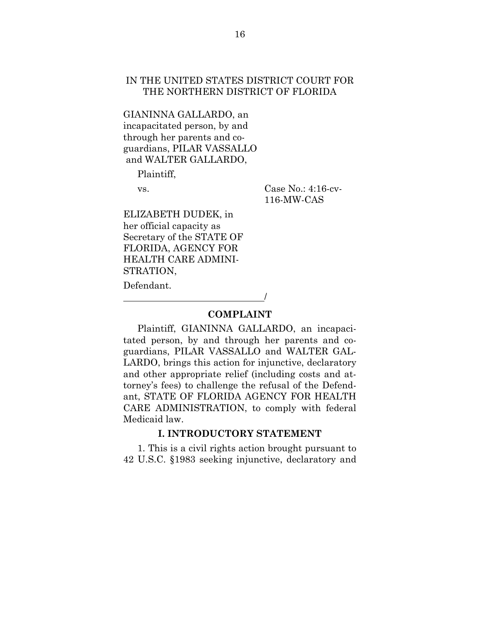### IN THE UNITED STATES DISTRICT COURT FOR THE NORTHERN DISTRICT OF FLORIDA

GIANINNA GALLARDO, an incapacitated person, by and through her parents and coguardians, PILAR VASSALLO and WALTER GALLARDO,

Plaintiff,

vs. Case No.: 4:16-cv-116-MW-CAS

ELIZABETH DUDEK, in her official capacity as Secretary of the STATE OF FLORIDA, AGENCY FOR HEALTH CARE ADMINI-STRATION,

/

Defendant.

#### **COMPLAINT**

Plaintiff, GIANINNA GALLARDO, an incapacitated person, by and through her parents and coguardians, PILAR VASSALLO and WALTER GAL-LARDO, brings this action for injunctive, declaratory and other appropriate relief (including costs and attorney's fees) to challenge the refusal of the Defendant, STATE OF FLORIDA AGENCY FOR HEALTH CARE ADMINISTRATION, to comply with federal Medicaid law.

#### **I. INTRODUCTORY STATEMENT**

1. This is a civil rights action brought pursuant to 42 U.S.C. §1983 seeking injunctive, declaratory and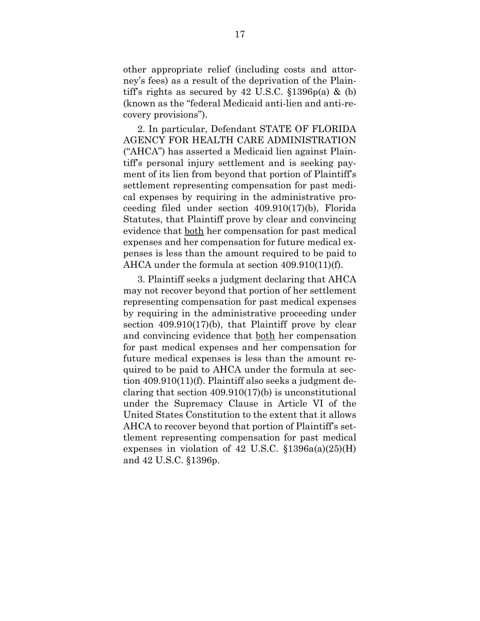other appropriate relief (including costs and attorney's fees) as a result of the deprivation of the Plaintiff's rights as secured by 42 U.S.C.  $$1396p(a) \& (b)$ (known as the "federal Medicaid anti-lien and anti-recovery provisions").

2. In particular, Defendant STATE OF FLORIDA AGENCY FOR HEALTH CARE ADMINISTRATION ("AHCA") has asserted a Medicaid lien against Plaintiff's personal injury settlement and is seeking payment of its lien from beyond that portion of Plaintiff's settlement representing compensation for past medical expenses by requiring in the administrative proceeding filed under section 409.910(17)(b), Florida Statutes, that Plaintiff prove by clear and convincing evidence that both her compensation for past medical expenses and her compensation for future medical expenses is less than the amount required to be paid to AHCA under the formula at section 409.910(11)(f).

3. Plaintiff seeks a judgment declaring that AHCA may not recover beyond that portion of her settlement representing compensation for past medical expenses by requiring in the administrative proceeding under section 409.910(17)(b), that Plaintiff prove by clear and convincing evidence that both her compensation for past medical expenses and her compensation for future medical expenses is less than the amount required to be paid to AHCA under the formula at section 409.910(11)(f). Plaintiff also seeks a judgment declaring that section 409.910(17)(b) is unconstitutional under the Supremacy Clause in Article VI of the United States Constitution to the extent that it allows AHCA to recover beyond that portion of Plaintiff's settlement representing compensation for past medical expenses in violation of 42 U.S.C.  $$1396a(a)(25)$ (H) and 42 U.S.C. §1396p.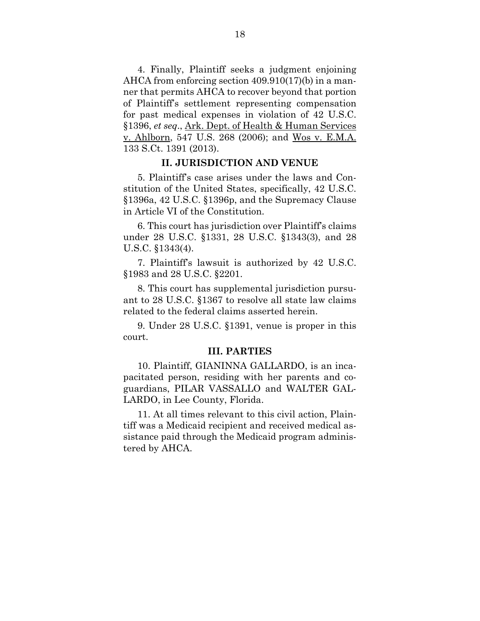4. Finally, Plaintiff seeks a judgment enjoining AHCA from enforcing section 409.910(17)(b) in a manner that permits AHCA to recover beyond that portion of Plaintiff's settlement representing compensation for past medical expenses in violation of 42 U.S.C. §1396, *et seq*., Ark. Dept. of Health & Human Services v. Ahlborn, 547 U.S. 268 (2006); and Wos v. E.M.A. 133 S.Ct. 1391 (2013).

#### **II. JURISDICTION AND VENUE**

5. Plaintiff's case arises under the laws and Constitution of the United States, specifically, 42 U.S.C. §1396a, 42 U.S.C. §1396p, and the Supremacy Clause in Article VI of the Constitution.

6. This court has jurisdiction over Plaintiff's claims under 28 U.S.C. §1331, 28 U.S.C. §1343(3), and 28 U.S.C. §1343(4).

7. Plaintiff's lawsuit is authorized by 42 U.S.C. §1983 and 28 U.S.C. §2201.

8. This court has supplemental jurisdiction pursuant to 28 U.S.C. §1367 to resolve all state law claims related to the federal claims asserted herein.

9. Under 28 U.S.C. §1391, venue is proper in this court.

#### **III. PARTIES**

10. Plaintiff, GIANINNA GALLARDO, is an incapacitated person, residing with her parents and coguardians, PILAR VASSALLO and WALTER GAL-LARDO, in Lee County, Florida.

11. At all times relevant to this civil action, Plaintiff was a Medicaid recipient and received medical assistance paid through the Medicaid program administered by AHCA.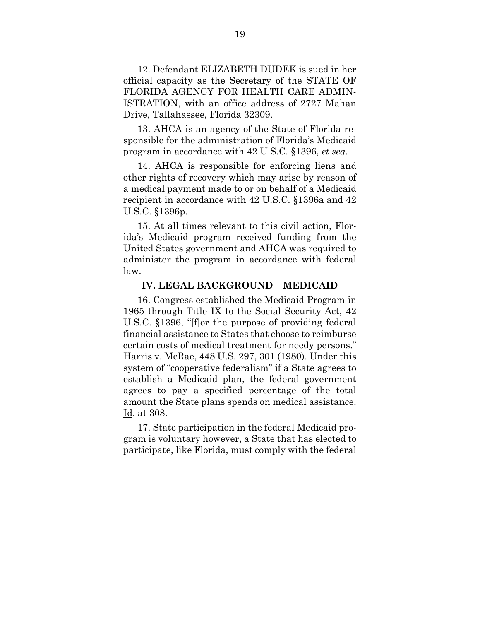12. Defendant ELIZABETH DUDEK is sued in her official capacity as the Secretary of the STATE OF FLORIDA AGENCY FOR HEALTH CARE ADMIN-ISTRATION, with an office address of 2727 Mahan Drive, Tallahassee, Florida 32309.

13. AHCA is an agency of the State of Florida responsible for the administration of Florida's Medicaid program in accordance with 42 U.S.C. §1396, *et seq*.

14. AHCA is responsible for enforcing liens and other rights of recovery which may arise by reason of a medical payment made to or on behalf of a Medicaid recipient in accordance with 42 U.S.C. §1396a and 42 U.S.C. §1396p.

15. At all times relevant to this civil action, Florida's Medicaid program received funding from the United States government and AHCA was required to administer the program in accordance with federal law.

### **IV. LEGAL BACKGROUND – MEDICAID**

16. Congress established the Medicaid Program in 1965 through Title IX to the Social Security Act, 42 U.S.C. §1396, "[f]or the purpose of providing federal financial assistance to States that choose to reimburse certain costs of medical treatment for needy persons." Harris v. McRae, 448 U.S. 297, 301 (1980). Under this system of "cooperative federalism" if a State agrees to establish a Medicaid plan, the federal government agrees to pay a specified percentage of the total amount the State plans spends on medical assistance. Id. at 308.

17. State participation in the federal Medicaid program is voluntary however, a State that has elected to participate, like Florida, must comply with the federal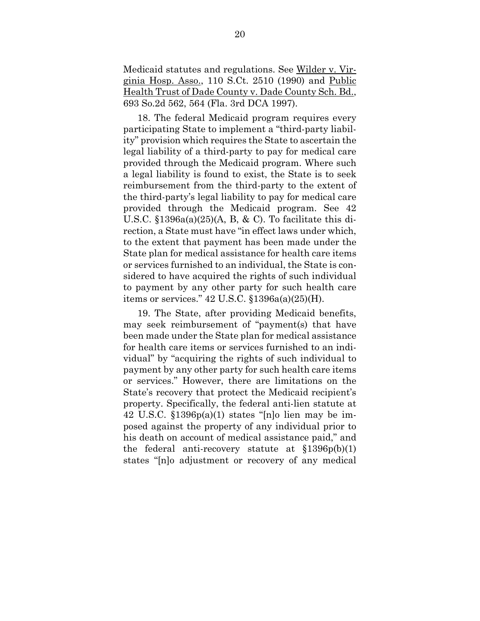Medicaid statutes and regulations. See Wilder v. Virginia Hosp. Asso., 110 S.Ct. 2510 (1990) and Public Health Trust of Dade County v. Dade County Sch. Bd., 693 So.2d 562, 564 (Fla. 3rd DCA 1997).

18. The federal Medicaid program requires every participating State to implement a "third-party liability" provision which requires the State to ascertain the legal liability of a third-party to pay for medical care provided through the Medicaid program. Where such a legal liability is found to exist, the State is to seek reimbursement from the third-party to the extent of the third-party's legal liability to pay for medical care provided through the Medicaid program. See 42 U.S.C.  $$1396a(a)(25)$ (A, B, & C). To facilitate this direction, a State must have "in effect laws under which, to the extent that payment has been made under the State plan for medical assistance for health care items or services furnished to an individual, the State is considered to have acquired the rights of such individual to payment by any other party for such health care items or services." 42 U.S.C. §1396a(a)(25)(H).

19. The State, after providing Medicaid benefits, may seek reimbursement of "payment(s) that have been made under the State plan for medical assistance for health care items or services furnished to an individual" by "acquiring the rights of such individual to payment by any other party for such health care items or services." However, there are limitations on the State's recovery that protect the Medicaid recipient's property. Specifically, the federal anti-lien statute at 42 U.S.C. §1396p(a)(1) states "[n]o lien may be imposed against the property of any individual prior to his death on account of medical assistance paid," and the federal anti-recovery statute at  $\S 1396p(b)(1)$ states "[n]o adjustment or recovery of any medical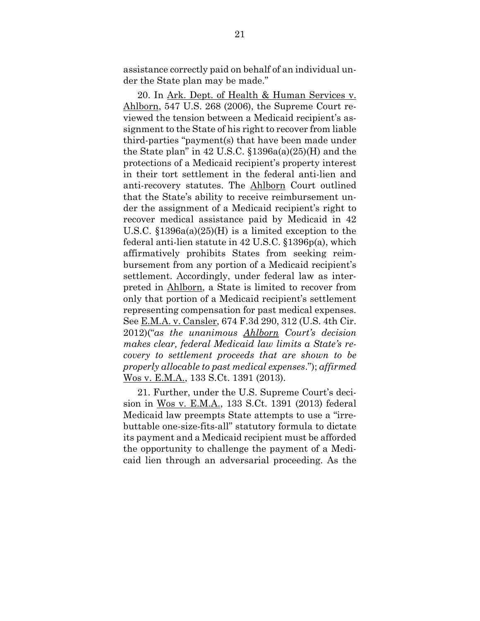assistance correctly paid on behalf of an individual under the State plan may be made."

20. In Ark. Dept. of Health & Human Services v. Ahlborn, 547 U.S. 268 (2006), the Supreme Court reviewed the tension between a Medicaid recipient's assignment to the State of his right to recover from liable third-parties "payment(s) that have been made under the State plan" in  $42$  U.S.C.  $$1396a(a)(25)$ (H) and the protections of a Medicaid recipient's property interest in their tort settlement in the federal anti-lien and anti-recovery statutes. The Ahlborn Court outlined that the State's ability to receive reimbursement under the assignment of a Medicaid recipient's right to recover medical assistance paid by Medicaid in 42 U.S.C. §1396a(a)(25)(H) is a limited exception to the federal anti-lien statute in 42 U.S.C. §1396p(a), which affirmatively prohibits States from seeking reimbursement from any portion of a Medicaid recipient's settlement. Accordingly, under federal law as interpreted in Ahlborn, a State is limited to recover from only that portion of a Medicaid recipient's settlement representing compensation for past medical expenses. See E.M.A. v. Cansler, 674 F.3d 290, 312 (U.S. 4th Cir. 2012)("*as the unanimous Ahlborn Court's decision makes clear, federal Medicaid law limits a State's recovery to settlement proceeds that are shown to be properly allocable to past medical expenses*."); *affirmed*  Wos v. E.M.A., 133 S.Ct. 1391 (2013).

21. Further, under the U.S. Supreme Court's decision in Wos v. E.M.A., 133 S.Ct. 1391 (2013) federal Medicaid law preempts State attempts to use a "irrebuttable one-size-fits-all" statutory formula to dictate its payment and a Medicaid recipient must be afforded the opportunity to challenge the payment of a Medicaid lien through an adversarial proceeding. As the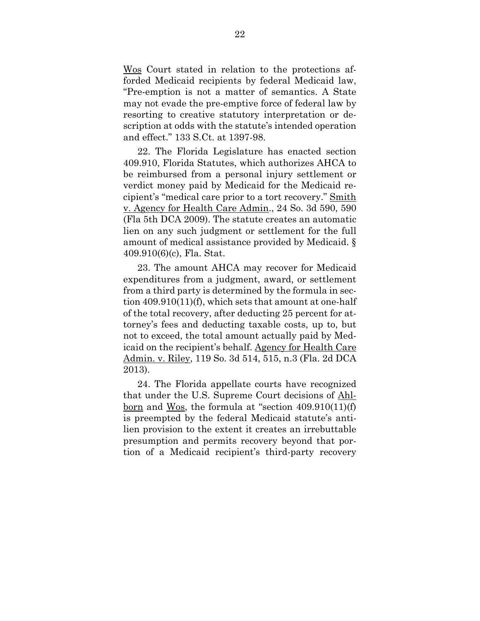Wos Court stated in relation to the protections afforded Medicaid recipients by federal Medicaid law, "Pre-emption is not a matter of semantics. A State may not evade the pre-emptive force of federal law by resorting to creative statutory interpretation or description at odds with the statute's intended operation and effect." 133 S.Ct. at 1397-98.

22. The Florida Legislature has enacted section 409.910, Florida Statutes, which authorizes AHCA to be reimbursed from a personal injury settlement or verdict money paid by Medicaid for the Medicaid recipient's "medical care prior to a tort recovery." Smith v. Agency for Health Care Admin., 24 So. 3d 590, 590 (Fla 5th DCA 2009). The statute creates an automatic lien on any such judgment or settlement for the full amount of medical assistance provided by Medicaid. § 409.910(6)(c), Fla. Stat.

23. The amount AHCA may recover for Medicaid expenditures from a judgment, award, or settlement from a third party is determined by the formula in section 409.910(11)(f), which sets that amount at one-half of the total recovery, after deducting 25 percent for attorney's fees and deducting taxable costs, up to, but not to exceed, the total amount actually paid by Medicaid on the recipient's behalf. Agency for Health Care Admin. v. Riley, 119 So. 3d 514, 515, n.3 (Fla. 2d DCA 2013).

24. The Florida appellate courts have recognized that under the U.S. Supreme Court decisions of Ahlborn and Wos, the formula at "section 409.910(11)(f) is preempted by the federal Medicaid statute's antilien provision to the extent it creates an irrebuttable presumption and permits recovery beyond that portion of a Medicaid recipient's third-party recovery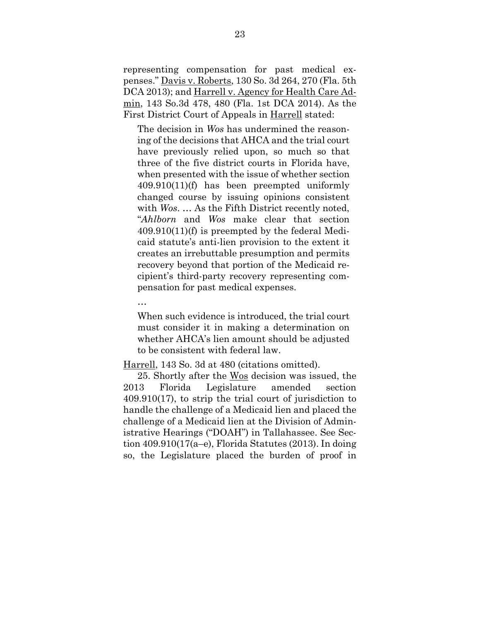representing compensation for past medical expenses." Davis v. Roberts, 130 So. 3d 264, 270 (Fla. 5th DCA 2013); and Harrell v. Agency for Health Care Admin, 143 So.3d 478, 480 (Fla. 1st DCA 2014). As the First District Court of Appeals in Harrell stated:

The decision in *Wos* has undermined the reasoning of the decisions that AHCA and the trial court have previously relied upon, so much so that three of the five district courts in Florida have, when presented with the issue of whether section 409.910(11)(f) has been preempted uniformly changed course by issuing opinions consistent with *Wos*. … As the Fifth District recently noted, "*Ahlborn* and *Wos* make clear that section 409.910(11)(f) is preempted by the federal Medicaid statute's anti-lien provision to the extent it creates an irrebuttable presumption and permits recovery beyond that portion of the Medicaid recipient's third-party recovery representing compensation for past medical expenses.

…

When such evidence is introduced, the trial court must consider it in making a determination on whether AHCA's lien amount should be adjusted to be consistent with federal law.

Harrell, 143 So. 3d at 480 (citations omitted).

25. Shortly after the Wos decision was issued, the 2013 Florida Legislature amended section 409.910(17), to strip the trial court of jurisdiction to handle the challenge of a Medicaid lien and placed the challenge of a Medicaid lien at the Division of Administrative Hearings ("DOAH") in Tallahassee. See Section 409.910(17(a–e), Florida Statutes (2013). In doing so, the Legislature placed the burden of proof in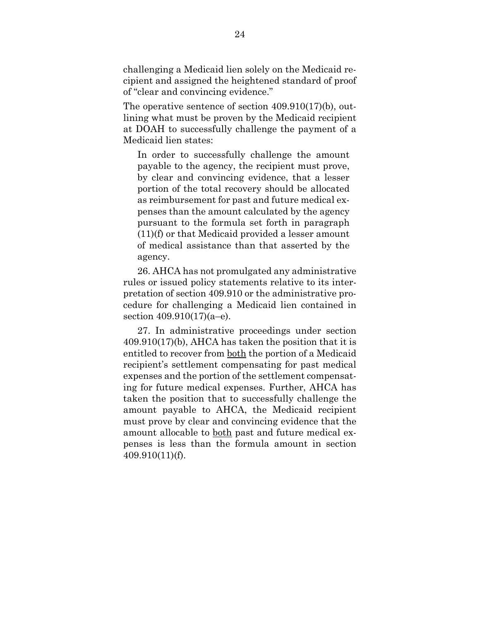challenging a Medicaid lien solely on the Medicaid recipient and assigned the heightened standard of proof of "clear and convincing evidence."

The operative sentence of section 409.910(17)(b), outlining what must be proven by the Medicaid recipient at DOAH to successfully challenge the payment of a Medicaid lien states:

In order to successfully challenge the amount payable to the agency, the recipient must prove, by clear and convincing evidence, that a lesser portion of the total recovery should be allocated as reimbursement for past and future medical expenses than the amount calculated by the agency pursuant to the formula set forth in paragraph (11)(f) or that Medicaid provided a lesser amount of medical assistance than that asserted by the agency.

26. AHCA has not promulgated any administrative rules or issued policy statements relative to its interpretation of section 409.910 or the administrative procedure for challenging a Medicaid lien contained in section 409.910(17)(a–e).

27. In administrative proceedings under section 409.910(17)(b), AHCA has taken the position that it is entitled to recover from both the portion of a Medicaid recipient's settlement compensating for past medical expenses and the portion of the settlement compensating for future medical expenses. Further, AHCA has taken the position that to successfully challenge the amount payable to AHCA, the Medicaid recipient must prove by clear and convincing evidence that the amount allocable to both past and future medical expenses is less than the formula amount in section 409.910(11)(f).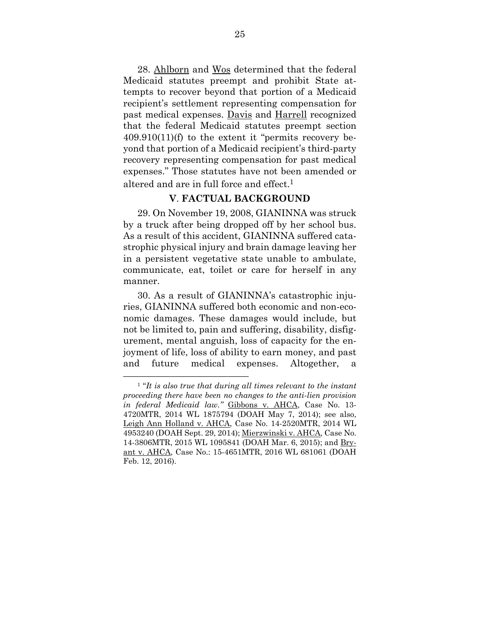28. Ahlborn and Wos determined that the federal Medicaid statutes preempt and prohibit State attempts to recover beyond that portion of a Medicaid recipient's settlement representing compensation for past medical expenses. Davis and Harrell recognized that the federal Medicaid statutes preempt section  $409.910(11)(f)$  to the extent it "permits recovery beyond that portion of a Medicaid recipient's third-party recovery representing compensation for past medical expenses." Those statutes have not been amended or altered and are in full force and effect.<sup>1</sup>

### **V**. **FACTUAL BACKGROUND**

29. On November 19, 2008, GIANINNA was struck by a truck after being dropped off by her school bus. As a result of this accident, GIANINNA suffered catastrophic physical injury and brain damage leaving her in a persistent vegetative state unable to ambulate, communicate, eat, toilet or care for herself in any manner.

30. As a result of GIANINNA's catastrophic injuries, GIANINNA suffered both economic and non-economic damages. These damages would include, but not be limited to, pain and suffering, disability, disfigurement, mental anguish, loss of capacity for the enjoyment of life, loss of ability to earn money, and past and future medical expenses. Altogether, a

<sup>&</sup>lt;sup>1</sup> "It is also true that during all times relevant to the instant *proceeding there have been no changes to the anti-lien provision in federal Medicaid law."* Gibbons v. AHCA, Case No. 13- 4720MTR, 2014 WL 1875794 (DOAH May 7, 2014); see also, Leigh Ann Holland v. AHCA, Case No. 14-2520MTR, 2014 WL 4953240 (DOAH Sept. 29, 2014); Mierzwinski v. AHCA, Case No. 14-3806MTR, 2015 WL 1095841 (DOAH Mar. 6, 2015); and Bryant v. AHCA, Case No.: 15-4651MTR, 2016 WL 681061 (DOAH Feb. 12, 2016).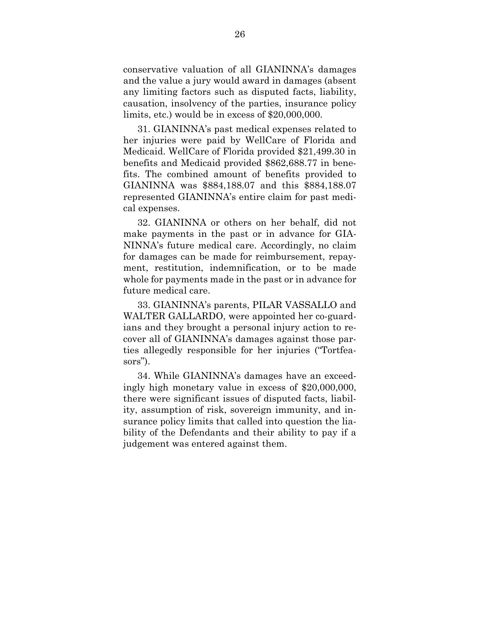conservative valuation of all GIANINNA's damages and the value a jury would award in damages (absent any limiting factors such as disputed facts, liability, causation, insolvency of the parties, insurance policy limits, etc.) would be in excess of \$20,000,000.

31. GIANINNA's past medical expenses related to her injuries were paid by WellCare of Florida and Medicaid. WellCare of Florida provided \$21,499.30 in benefits and Medicaid provided \$862,688.77 in benefits. The combined amount of benefits provided to GIANINNA was \$884,188.07 and this \$884,188.07 represented GIANINNA's entire claim for past medical expenses.

32. GIANINNA or others on her behalf, did not make payments in the past or in advance for GIA-NINNA's future medical care. Accordingly, no claim for damages can be made for reimbursement, repayment, restitution, indemnification, or to be made whole for payments made in the past or in advance for future medical care.

33. GIANINNA's parents, PILAR VASSALLO and WALTER GALLARDO, were appointed her co-guardians and they brought a personal injury action to recover all of GIANINNA's damages against those parties allegedly responsible for her injuries ("Tortfeasors").

34. While GIANINNA's damages have an exceedingly high monetary value in excess of \$20,000,000, there were significant issues of disputed facts, liability, assumption of risk, sovereign immunity, and insurance policy limits that called into question the liability of the Defendants and their ability to pay if a judgement was entered against them.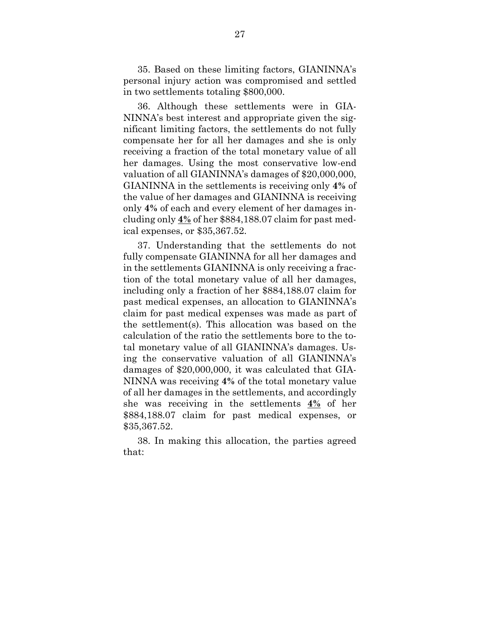35. Based on these limiting factors, GIANINNA's personal injury action was compromised and settled in two settlements totaling \$800,000.

36. Although these settlements were in GIA-NINNA's best interest and appropriate given the significant limiting factors, the settlements do not fully compensate her for all her damages and she is only receiving a fraction of the total monetary value of all her damages. Using the most conservative low-end valuation of all GIANINNA's damages of \$20,000,000, GIANINNA in the settlements is receiving only **4%** of the value of her damages and GIANINNA is receiving only **4%** of each and every element of her damages including only **4%** of her \$884,188.07 claim for past medical expenses, or \$35,367.52.

37. Understanding that the settlements do not fully compensate GIANINNA for all her damages and in the settlements GIANINNA is only receiving a fraction of the total monetary value of all her damages, including only a fraction of her \$884,188.07 claim for past medical expenses, an allocation to GIANINNA's claim for past medical expenses was made as part of the settlement(s). This allocation was based on the calculation of the ratio the settlements bore to the total monetary value of all GIANINNA's damages. Using the conservative valuation of all GIANINNA's damages of \$20,000,000, it was calculated that GIA-NINNA was receiving **4%** of the total monetary value of all her damages in the settlements, and accordingly she was receiving in the settlements **4%** of her \$884,188.07 claim for past medical expenses, or \$35,367.52.

38. In making this allocation, the parties agreed that: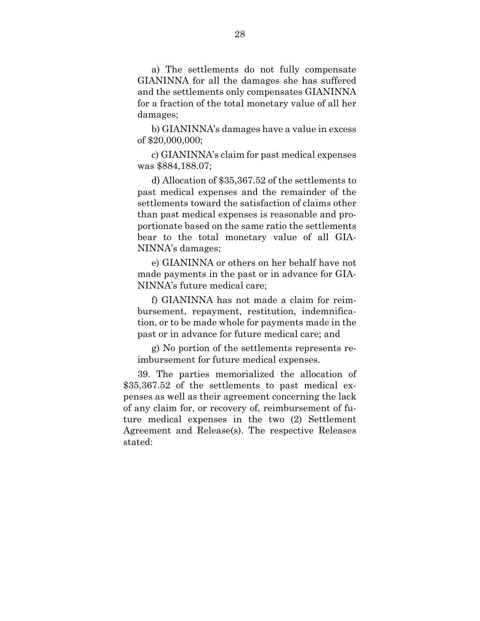a) The settlements do not fully compensate GIANINNA for all the damages she has suffered and the settlements only compensates GIANINNA for a fraction of the total monetary value of all her damages;

b) GIANINNA's damages have a value in excess of \$20,000,000;

c) GIANINNA's claim for past medical expenses was \$884,188.07;

d) Allocation of \$35,367.52 of the settlements to past medical expenses and the remainder of the settlements toward the satisfaction of claims other than past medical expenses is reasonable and proportionate based on the same ratio the settlements bear to the total monetary value of all GIA-NINNA's damages;

e) GIANINNA or others on her behalf have not made payments in the past or in advance for GIA-NINNA's future medical care;

f) GIANINNA has not made a claim for reimbursement, repayment, restitution, indemnification, or to be made whole for payments made in the past or in advance for future medical care; and

g) No portion of the settlements represents reimbursement for future medical expenses.

39. The parties memorialized the allocation of \$35,367.52 of the settlements to past medical expenses as well as their agreement concerning the lack of any claim for, or recovery of, reimbursement of future medical expenses in the two (2) Settlement Agreement and Release(s). The respective Releases stated: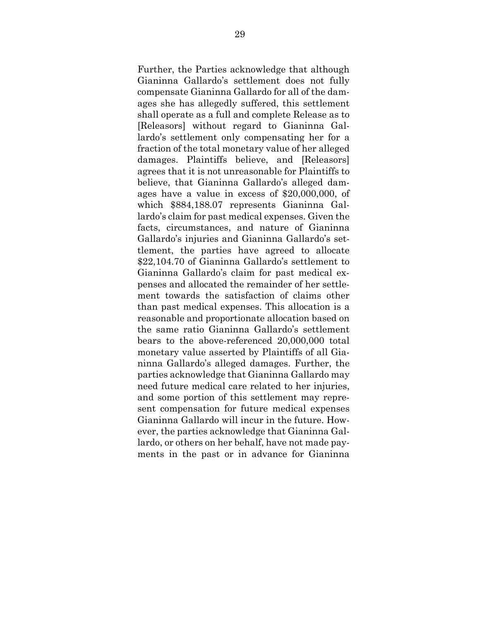Further, the Parties acknowledge that although Gianinna Gallardo's settlement does not fully compensate Gianinna Gallardo for all of the damages she has allegedly suffered, this settlement shall operate as a full and complete Release as to [Releasors] without regard to Gianinna Gallardo's settlement only compensating her for a fraction of the total monetary value of her alleged damages. Plaintiffs believe, and [Releasors] agrees that it is not unreasonable for Plaintiffs to believe, that Gianinna Gallardo's alleged damages have a value in excess of \$20,000,000, of which \$884,188.07 represents Gianinna Gallardo's claim for past medical expenses. Given the facts, circumstances, and nature of Gianinna Gallardo's injuries and Gianinna Gallardo's settlement, the parties have agreed to allocate \$22,104.70 of Gianinna Gallardo's settlement to Gianinna Gallardo's claim for past medical expenses and allocated the remainder of her settlement towards the satisfaction of claims other than past medical expenses. This allocation is a reasonable and proportionate allocation based on the same ratio Gianinna Gallardo's settlement bears to the above-referenced 20,000,000 total monetary value asserted by Plaintiffs of all Gianinna Gallardo's alleged damages. Further, the parties acknowledge that Gianinna Gallardo may need future medical care related to her injuries, and some portion of this settlement may represent compensation for future medical expenses Gianinna Gallardo will incur in the future. However, the parties acknowledge that Gianinna Gallardo, or others on her behalf, have not made payments in the past or in advance for Gianinna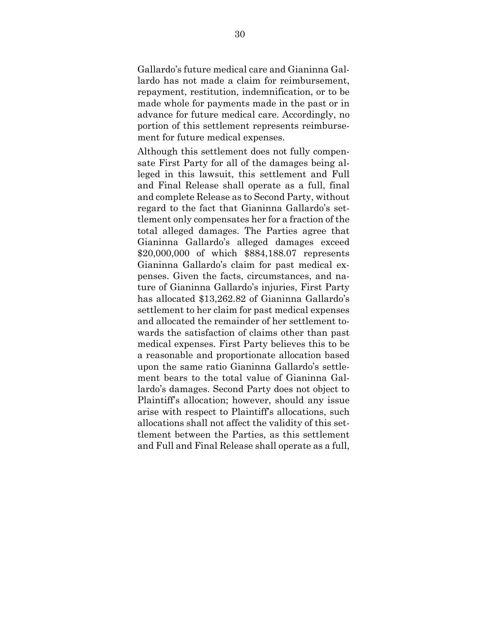Gallardo's future medical care and Gianinna Gallardo has not made a claim for reimbursement, repayment, restitution, indemnification, or to be made whole for payments made in the past or in advance for future medical care. Accordingly, no portion of this settlement represents reimbursement for future medical expenses.

Although this settlement does not fully compensate First Party for all of the damages being alleged in this lawsuit, this settlement and Full and Final Release shall operate as a full, final and complete Release as to Second Party, without regard to the fact that Gianinna Gallardo's settlement only compensates her for a fraction of the total alleged damages. The Parties agree that Gianinna Gallardo's alleged damages exceed \$20,000,000 of which \$884,188.07 represents Gianinna Gallardo's claim for past medical expenses. Given the facts, circumstances, and nature of Gianinna Gallardo's injuries, First Party has allocated \$13,262.82 of Gianinna Gallardo's settlement to her claim for past medical expenses and allocated the remainder of her settlement towards the satisfaction of claims other than past medical expenses. First Party believes this to be a reasonable and proportionate allocation based upon the same ratio Gianinna Gallardo's settlement bears to the total value of Gianinna Gallardo's damages. Second Party does not object to Plaintiff's allocation; however, should any issue arise with respect to Plaintiff's allocations, such allocations shall not affect the validity of this settlement between the Parties, as this settlement and Full and Final Release shall operate as a full,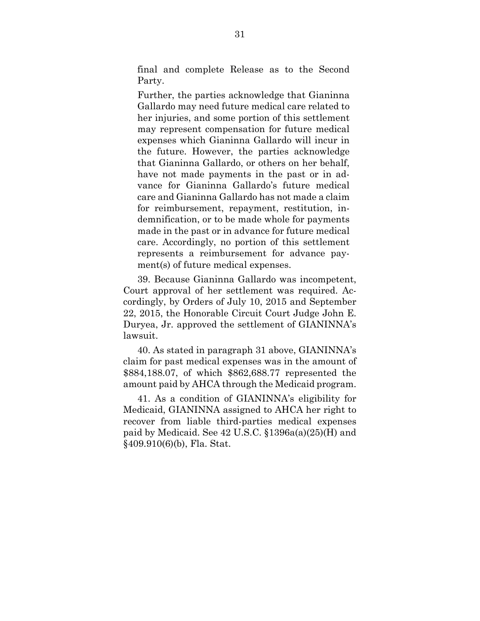final and complete Release as to the Second Party.

Further, the parties acknowledge that Gianinna Gallardo may need future medical care related to her injuries, and some portion of this settlement may represent compensation for future medical expenses which Gianinna Gallardo will incur in the future. However, the parties acknowledge that Gianinna Gallardo, or others on her behalf, have not made payments in the past or in advance for Gianinna Gallardo's future medical care and Gianinna Gallardo has not made a claim for reimbursement, repayment, restitution, indemnification, or to be made whole for payments made in the past or in advance for future medical care. Accordingly, no portion of this settlement represents a reimbursement for advance payment(s) of future medical expenses.

39. Because Gianinna Gallardo was incompetent, Court approval of her settlement was required. Accordingly, by Orders of July 10, 2015 and September 22, 2015, the Honorable Circuit Court Judge John E. Duryea, Jr. approved the settlement of GIANINNA's lawsuit.

40. As stated in paragraph 31 above, GIANINNA's claim for past medical expenses was in the amount of \$884,188.07, of which \$862,688.77 represented the amount paid by AHCA through the Medicaid program.

41. As a condition of GIANINNA's eligibility for Medicaid, GIANINNA assigned to AHCA her right to recover from liable third-parties medical expenses paid by Medicaid. See 42 U.S.C. §1396a(a)(25)(H) and §409.910(6)(b), Fla. Stat.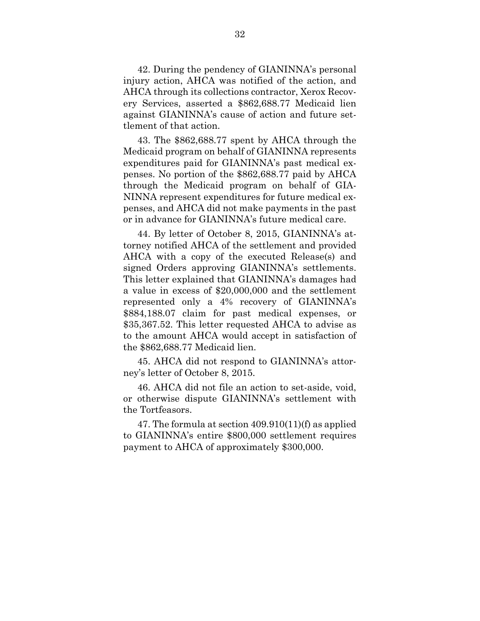42. During the pendency of GIANINNA's personal injury action, AHCA was notified of the action, and AHCA through its collections contractor, Xerox Recovery Services, asserted a \$862,688.77 Medicaid lien against GIANINNA's cause of action and future settlement of that action.

43. The \$862,688.77 spent by AHCA through the Medicaid program on behalf of GIANINNA represents expenditures paid for GIANINNA's past medical expenses. No portion of the \$862,688.77 paid by AHCA through the Medicaid program on behalf of GIA-NINNA represent expenditures for future medical expenses, and AHCA did not make payments in the past or in advance for GIANINNA's future medical care.

44. By letter of October 8, 2015, GIANINNA's attorney notified AHCA of the settlement and provided AHCA with a copy of the executed Release(s) and signed Orders approving GIANINNA's settlements. This letter explained that GIANINNA's damages had a value in excess of \$20,000,000 and the settlement represented only a 4% recovery of GIANINNA's \$884,188.07 claim for past medical expenses, or \$35,367.52. This letter requested AHCA to advise as to the amount AHCA would accept in satisfaction of the \$862,688.77 Medicaid lien.

45. AHCA did not respond to GIANINNA's attorney's letter of October 8, 2015.

46. AHCA did not file an action to set-aside, void, or otherwise dispute GIANINNA's settlement with the Tortfeasors.

47. The formula at section 409.910(11)(f) as applied to GIANINNA's entire \$800,000 settlement requires payment to AHCA of approximately \$300,000.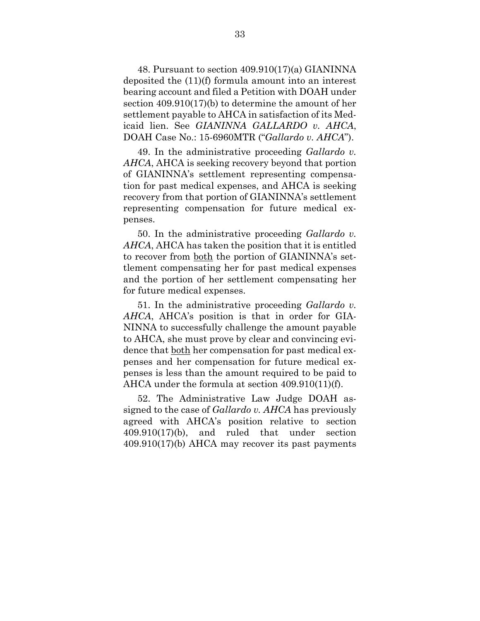48. Pursuant to section 409.910(17)(a) GIANINNA deposited the (11)(f) formula amount into an interest bearing account and filed a Petition with DOAH under section 409.910(17)(b) to determine the amount of her settlement payable to AHCA in satisfaction of its Medicaid lien. See *GIANINNA GALLARDO v. AHCA*, DOAH Case No.: 15-6960MTR ("*Gallardo v. AHCA*").

49. In the administrative proceeding *Gallardo v. AHCA*, AHCA is seeking recovery beyond that portion of GIANINNA's settlement representing compensation for past medical expenses, and AHCA is seeking recovery from that portion of GIANINNA's settlement representing compensation for future medical expenses.

50. In the administrative proceeding *Gallardo v. AHCA*, AHCA has taken the position that it is entitled to recover from both the portion of GIANINNA's settlement compensating her for past medical expenses and the portion of her settlement compensating her for future medical expenses.

51. In the administrative proceeding *Gallardo v. AHCA*, AHCA's position is that in order for GIA-NINNA to successfully challenge the amount payable to AHCA, she must prove by clear and convincing evidence that both her compensation for past medical expenses and her compensation for future medical expenses is less than the amount required to be paid to AHCA under the formula at section 409.910(11)(f).

52. The Administrative Law Judge DOAH assigned to the case of *Gallardo v. AHCA* has previously agreed with AHCA's position relative to section 409.910(17)(b), and ruled that under section 409.910(17)(b) AHCA may recover its past payments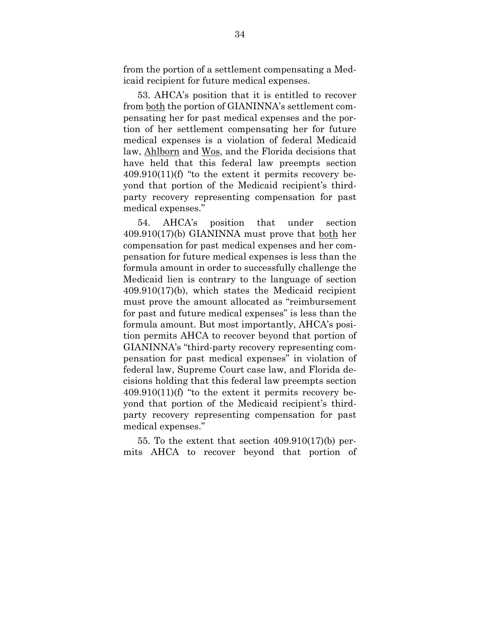from the portion of a settlement compensating a Medicaid recipient for future medical expenses.

53. AHCA's position that it is entitled to recover from both the portion of GIANINNA's settlement compensating her for past medical expenses and the portion of her settlement compensating her for future medical expenses is a violation of federal Medicaid law, Ahlborn and Wos, and the Florida decisions that have held that this federal law preempts section 409.910(11)(f) "to the extent it permits recovery beyond that portion of the Medicaid recipient's thirdparty recovery representing compensation for past medical expenses."

54. AHCA's position that under section 409.910(17)(b) GIANINNA must prove that both her compensation for past medical expenses and her compensation for future medical expenses is less than the formula amount in order to successfully challenge the Medicaid lien is contrary to the language of section 409.910(17)(b), which states the Medicaid recipient must prove the amount allocated as "reimbursement for past and future medical expenses" is less than the formula amount. But most importantly, AHCA's position permits AHCA to recover beyond that portion of GIANINNA's "third-party recovery representing compensation for past medical expenses" in violation of federal law, Supreme Court case law, and Florida decisions holding that this federal law preempts section  $409.910(11)$ (f) "to the extent it permits recovery beyond that portion of the Medicaid recipient's thirdparty recovery representing compensation for past medical expenses."

55. To the extent that section 409.910(17)(b) permits AHCA to recover beyond that portion of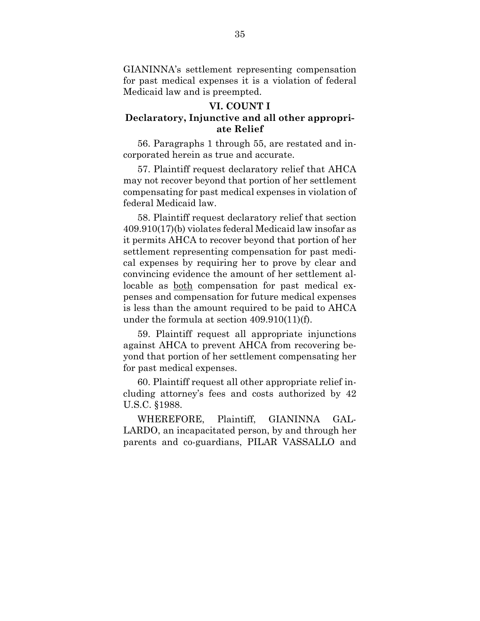GIANINNA's settlement representing compensation for past medical expenses it is a violation of federal Medicaid law and is preempted.

# **VI. COUNT I**

## **Declaratory, Injunctive and all other appropriate Relief**

56. Paragraphs 1 through 55, are restated and incorporated herein as true and accurate.

57. Plaintiff request declaratory relief that AHCA may not recover beyond that portion of her settlement compensating for past medical expenses in violation of federal Medicaid law.

58. Plaintiff request declaratory relief that section 409.910(17)(b) violates federal Medicaid law insofar as it permits AHCA to recover beyond that portion of her settlement representing compensation for past medical expenses by requiring her to prove by clear and convincing evidence the amount of her settlement allocable as both compensation for past medical expenses and compensation for future medical expenses is less than the amount required to be paid to AHCA under the formula at section 409.910(11)(f).

59. Plaintiff request all appropriate injunctions against AHCA to prevent AHCA from recovering beyond that portion of her settlement compensating her for past medical expenses.

60. Plaintiff request all other appropriate relief including attorney's fees and costs authorized by 42 U.S.C. §1988.

WHEREFORE, Plaintiff, GIANINNA GAL-LARDO, an incapacitated person, by and through her parents and co-guardians, PILAR VASSALLO and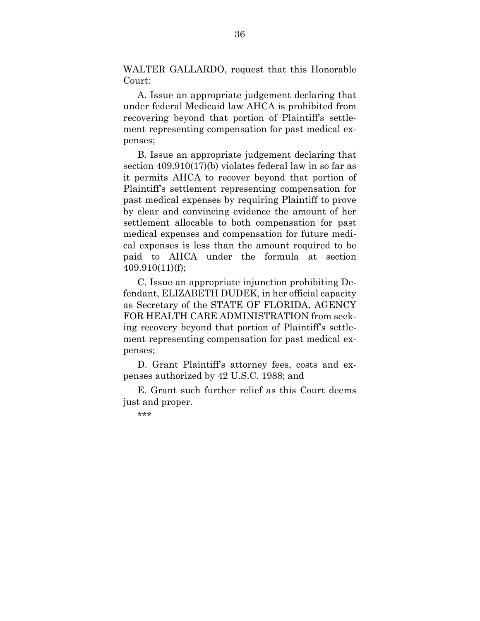WALTER GALLARDO, request that this Honorable Court:

A. Issue an appropriate judgement declaring that under federal Medicaid law AHCA is prohibited from recovering beyond that portion of Plaintiff's settlement representing compensation for past medical expenses;

B. Issue an appropriate judgement declaring that section 409.910(17)(b) violates federal law in so far as it permits AHCA to recover beyond that portion of Plaintiff's settlement representing compensation for past medical expenses by requiring Plaintiff to prove by clear and convincing evidence the amount of her settlement allocable to both compensation for past medical expenses and compensation for future medical expenses is less than the amount required to be paid to AHCA under the formula at section 409.910(11)(f);

C. Issue an appropriate injunction prohibiting Defendant, ELIZABETH DUDEK, in her official capacity as Secretary of the STATE OF FLORIDA, AGENCY FOR HEALTH CARE ADMINISTRATION from seeking recovery beyond that portion of Plaintiff's settlement representing compensation for past medical expenses;

D. Grant Plaintiff's attorney fees, costs and expenses authorized by 42 U.S.C. 1988; and

E. Grant such further relief as this Court deems just and proper.

\*\*\*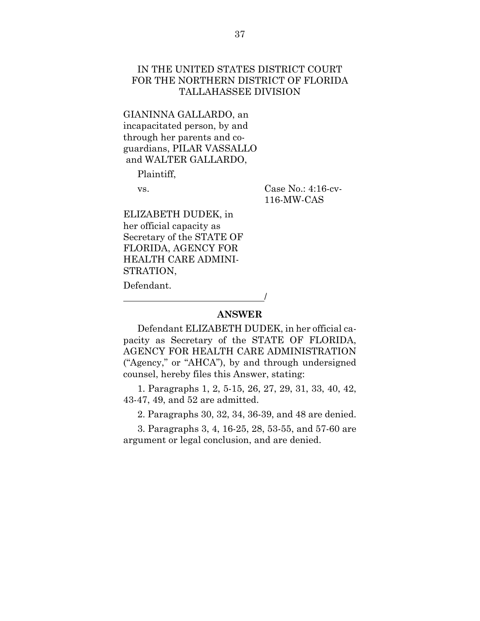## IN THE UNITED STATES DISTRICT COURT FOR THE NORTHERN DISTRICT OF FLORIDA TALLAHASSEE DIVISION

GIANINNA GALLARDO, an incapacitated person, by and through her parents and coguardians, PILAR VASSALLO and WALTER GALLARDO,

Plaintiff,

vs. Case No.: 4:16-cv-116-MW-CAS

ELIZABETH DUDEK, in her official capacity as Secretary of the STATE OF FLORIDA, AGENCY FOR HEALTH CARE ADMINI-STRATION,

/

Defendant.

### **ANSWER**

Defendant ELIZABETH DUDEK, in her official capacity as Secretary of the STATE OF FLORIDA, AGENCY FOR HEALTH CARE ADMINISTRATION ("Agency," or "AHCA"), by and through undersigned counsel, hereby files this Answer, stating:

1. Paragraphs 1, 2, 5-15, 26, 27, 29, 31, 33, 40, 42, 43-47, 49, and 52 are admitted.

2. Paragraphs 30, 32, 34, 36-39, and 48 are denied.

3. Paragraphs 3, 4, 16-25, 28, 53-55, and 57-60 are argument or legal conclusion, and are denied.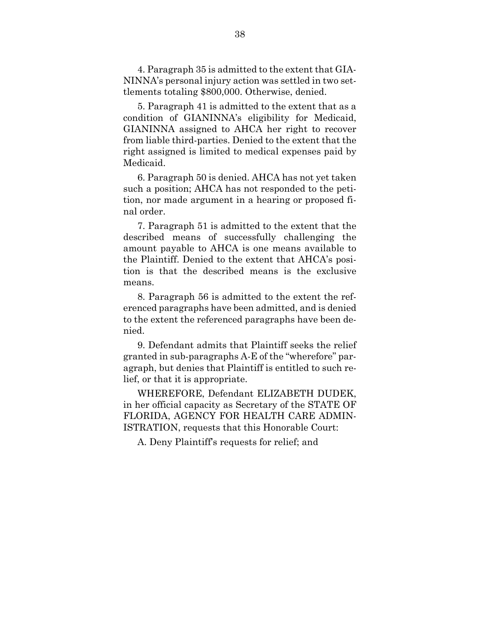4. Paragraph 35 is admitted to the extent that GIA-NINNA's personal injury action was settled in two settlements totaling \$800,000. Otherwise, denied.

5. Paragraph 41 is admitted to the extent that as a condition of GIANINNA's eligibility for Medicaid, GIANINNA assigned to AHCA her right to recover from liable third-parties. Denied to the extent that the right assigned is limited to medical expenses paid by Medicaid.

6. Paragraph 50 is denied. AHCA has not yet taken such a position; AHCA has not responded to the petition, nor made argument in a hearing or proposed final order.

7. Paragraph 51 is admitted to the extent that the described means of successfully challenging the amount payable to AHCA is one means available to the Plaintiff. Denied to the extent that AHCA's position is that the described means is the exclusive means.

8. Paragraph 56 is admitted to the extent the referenced paragraphs have been admitted, and is denied to the extent the referenced paragraphs have been denied.

9. Defendant admits that Plaintiff seeks the relief granted in sub-paragraphs A-E of the "wherefore" paragraph, but denies that Plaintiff is entitled to such relief, or that it is appropriate.

WHEREFORE, Defendant ELIZABETH DUDEK, in her official capacity as Secretary of the STATE OF FLORIDA, AGENCY FOR HEALTH CARE ADMIN-ISTRATION, requests that this Honorable Court:

A. Deny Plaintiff's requests for relief; and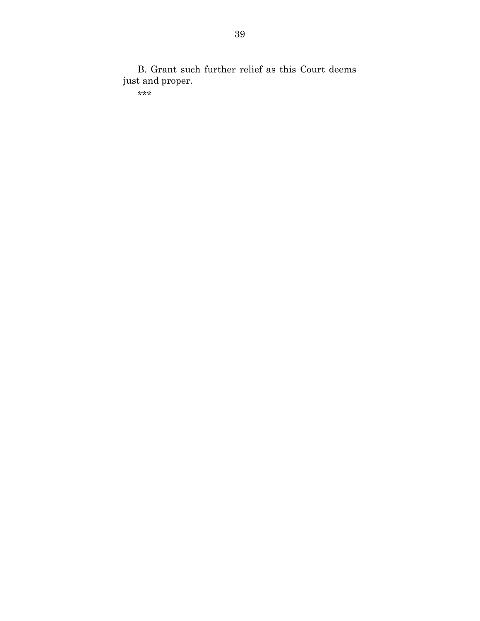B. Grant such further relief as this Court deems just and proper.

\*\*\*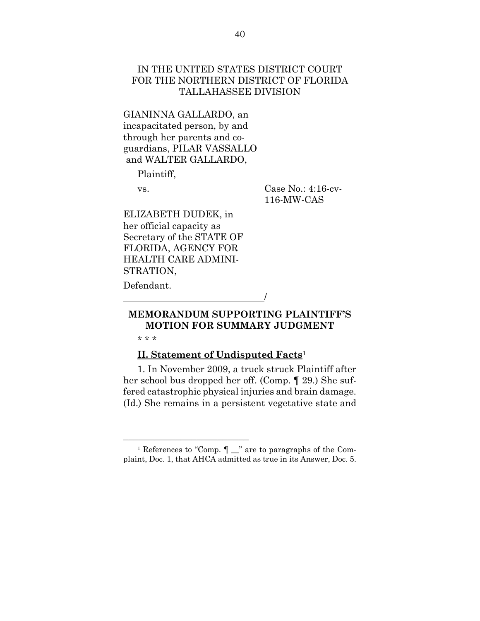## IN THE UNITED STATES DISTRICT COURT FOR THE NORTHERN DISTRICT OF FLORIDA TALLAHASSEE DIVISION

GIANINNA GALLARDO, an incapacitated person, by and through her parents and coguardians, PILAR VASSALLO and WALTER GALLARDO,

Plaintiff,

vs. Case No.: 4:16-cv-116-MW-CAS

ELIZABETH DUDEK, in her official capacity as Secretary of the STATE OF FLORIDA, AGENCY FOR HEALTH CARE ADMINI-STRATION,

/

Defendant.

# **MEMORANDUM SUPPORTING PLAINTIFF'S MOTION FOR SUMMARY JUDGMENT**

\* \* \*

## **II. Statement of Undisputed Facts**<sup>1</sup>

1. In November 2009, a truck struck Plaintiff after her school bus dropped her off. (Comp. ¶ 29.) She suffered catastrophic physical injuries and brain damage. (Id.) She remains in a persistent vegetative state and

 $\frac{1}{2}$  References to "Comp.  $\P$   $\equiv$  " are to paragraphs of the Complaint, Doc. 1, that AHCA admitted as true in its Answer, Doc. 5.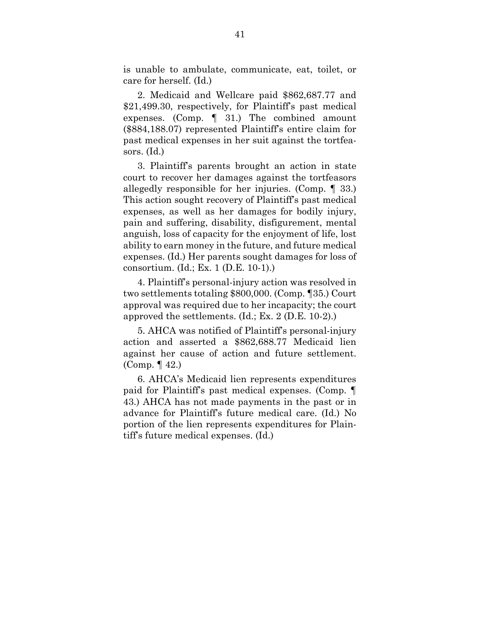is unable to ambulate, communicate, eat, toilet, or care for herself. (Id.)

2. Medicaid and Wellcare paid \$862,687.77 and \$21,499.30, respectively, for Plaintiff's past medical expenses. (Comp. ¶ 31.) The combined amount (\$884,188.07) represented Plaintiff's entire claim for past medical expenses in her suit against the tortfeasors. (Id.)

3. Plaintiff's parents brought an action in state court to recover her damages against the tortfeasors allegedly responsible for her injuries. (Comp. ¶ 33.) This action sought recovery of Plaintiff's past medical expenses, as well as her damages for bodily injury, pain and suffering, disability, disfigurement, mental anguish, loss of capacity for the enjoyment of life, lost ability to earn money in the future, and future medical expenses. (Id.) Her parents sought damages for loss of consortium. (Id.; Ex. 1 (D.E. 10-1).)

4. Plaintiff's personal-injury action was resolved in two settlements totaling \$800,000. (Comp. ¶35.) Court approval was required due to her incapacity; the court approved the settlements. (Id.; Ex. 2 (D.E. 10-2).)

5. AHCA was notified of Plaintiff's personal-injury action and asserted a \$862,688.77 Medicaid lien against her cause of action and future settlement. (Comp. ¶ 42.)

6. AHCA's Medicaid lien represents expenditures paid for Plaintiff's past medical expenses. (Comp. ¶ 43.) AHCA has not made payments in the past or in advance for Plaintiff's future medical care. (Id.) No portion of the lien represents expenditures for Plaintiff's future medical expenses. (Id.)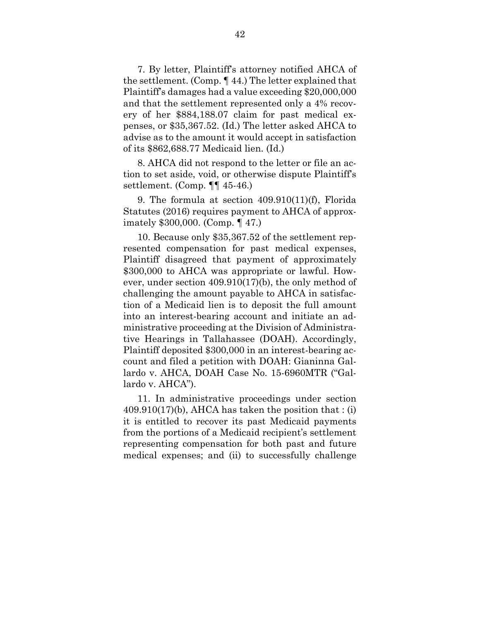7. By letter, Plaintiff's attorney notified AHCA of the settlement. (Comp. ¶ 44.) The letter explained that Plaintiff's damages had a value exceeding \$20,000,000 and that the settlement represented only a 4% recovery of her \$884,188.07 claim for past medical expenses, or \$35,367.52. (Id.) The letter asked AHCA to advise as to the amount it would accept in satisfaction of its \$862,688.77 Medicaid lien. (Id.)

8. AHCA did not respond to the letter or file an action to set aside, void, or otherwise dispute Plaintiff's settlement. (Comp. ¶¶ 45-46.)

9. The formula at section 409.910(11)(f), Florida Statutes (2016) requires payment to AHCA of approximately \$300,000. (Comp. ¶ 47.)

10. Because only \$35,367.52 of the settlement represented compensation for past medical expenses, Plaintiff disagreed that payment of approximately \$300,000 to AHCA was appropriate or lawful. However, under section 409.910(17)(b), the only method of challenging the amount payable to AHCA in satisfaction of a Medicaid lien is to deposit the full amount into an interest-bearing account and initiate an administrative proceeding at the Division of Administrative Hearings in Tallahassee (DOAH). Accordingly, Plaintiff deposited \$300,000 in an interest-bearing account and filed a petition with DOAH: Gianinna Gallardo v. AHCA, DOAH Case No. 15-6960MTR ("Gallardo v. AHCA").

11. In administrative proceedings under section  $409.910(17)$ (b), AHCA has taken the position that : (i) it is entitled to recover its past Medicaid payments from the portions of a Medicaid recipient's settlement representing compensation for both past and future medical expenses; and (ii) to successfully challenge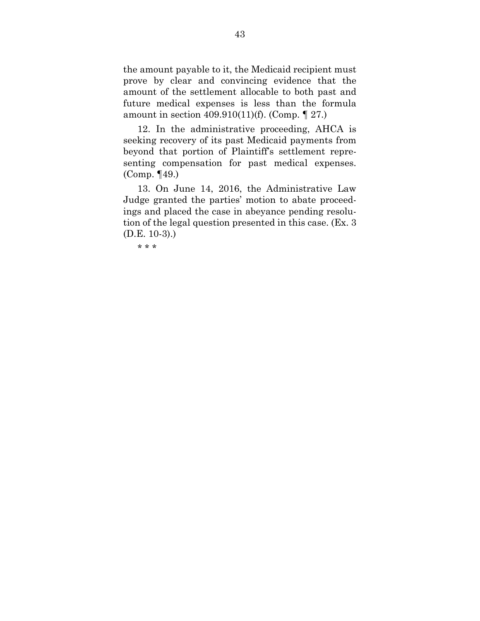the amount payable to it, the Medicaid recipient must prove by clear and convincing evidence that the amount of the settlement allocable to both past and future medical expenses is less than the formula amount in section 409.910(11)(f). (Comp. ¶ 27.)

12. In the administrative proceeding, AHCA is seeking recovery of its past Medicaid payments from beyond that portion of Plaintiff's settlement representing compensation for past medical expenses. (Comp. ¶49.)

13. On June 14, 2016, the Administrative Law Judge granted the parties' motion to abate proceedings and placed the case in abeyance pending resolution of the legal question presented in this case. (Ex. 3 (D.E. 10-3).)

\* \* \*